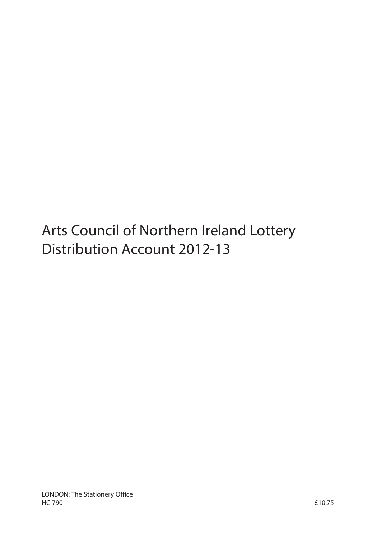Arts Council of Northern Ireland Lottery Distribution Account 2012-13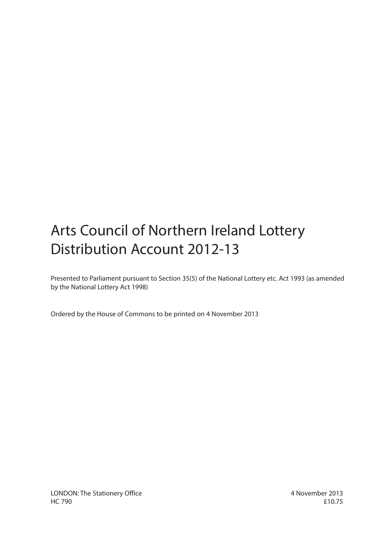# Arts Council of Northern Ireland Lottery Distribution Account 2012-13

Presented to Parliament pursuant to Section 35(5) of the National Lottery etc. Act 1993 (as amended by the National Lottery Act 1998)

Ordered by the House of Commons to be printed on 4 November 2013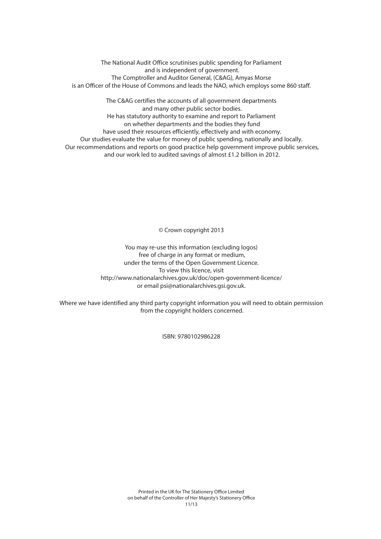The National Audit Office scrutinises public spending for Parliament and is independent of government. The Comptroller and Auditor General, (C&AG), Amyas Morse is an Officer of the House of Commons and leads the NAO, which employs some 860 staff.

The C&AG certifies the accounts of all government departments and many other public sector bodies. He has statutory authority to examine and report to Parliament on whether departments and the bodies they fund have used their resources efficiently, effectively and with economy. Our studies evaluate the value for money of public spending, nationally and locally. Our recommendations and reports on good practice help government improve public services, and our work led to audited savings of almost £1.2 billion in 2012.

© Crown copyright 2013

You may re-use this information (excluding logos) free of charge in any format or medium, under the terms of the Open Government Licence. To view this licence, visit http://www.nationalarchives.gov.uk/doc/open-government-licence/ or email psi@nationalarchives.gsi.gov.uk.

Where we have identified any third party copyright information you will need to obtain permission from the copyright holders concerned.

ISBN: 9780102986228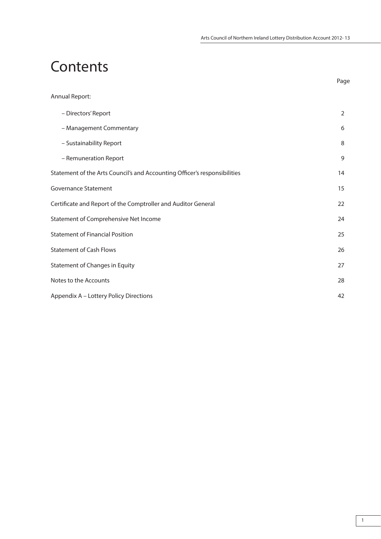Page

# **Contents**

| Annual Report:                                                            |                |
|---------------------------------------------------------------------------|----------------|
| - Directors' Report                                                       | $\overline{2}$ |
| - Management Commentary                                                   | 6              |
| - Sustainability Report                                                   | 8              |
| - Remuneration Report                                                     | 9              |
| Statement of the Arts Council's and Accounting Officer's responsibilities | 14             |
| <b>Governance Statement</b>                                               | 15             |
| Certificate and Report of the Comptroller and Auditor General             | 22             |
| Statement of Comprehensive Net Income                                     | 24             |
| <b>Statement of Financial Position</b>                                    | 25             |
| <b>Statement of Cash Flows</b>                                            | 26             |
| <b>Statement of Changes in Equity</b>                                     | 27             |
| Notes to the Accounts                                                     | 28             |
| Appendix A - Lottery Policy Directions                                    | 42             |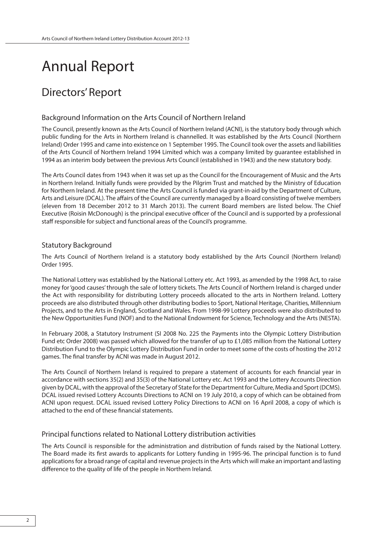# Annual Report

# Directors' Report

# Background Information on the Arts Council of Northern Ireland

The Council, presently known as the Arts Council of Northern Ireland (ACNI), is the statutory body through which public funding for the Arts in Northern Ireland is channelled. It was established by the Arts Council (Northern Ireland) Order 1995 and came into existence on 1 September 1995. The Council took over the assets and liabilities of the Arts Council of Northern Ireland 1994 Limited which was a company limited by guarantee established in 1994 as an interim body between the previous Arts Council (established in 1943) and the new statutory body.

The Arts Council dates from 1943 when it was set up as the Council for the Encouragement of Music and the Arts in Northern Ireland. Initially funds were provided by the Pilgrim Trust and matched by the Ministry of Education for Northern Ireland. At the present time the Arts Council is funded via grant-in-aid by the Department of Culture, Arts and Leisure (DCAL). The affairs of the Council are currently managed by a Board consisting of twelve members (eleven from 18 December 2012 to 31 March 2013). The current Board members are listed below. The Chief Executive (Roisin McDonough) is the principal executive officer of the Council and is supported by a professional staff responsible for subject and functional areas of the Council's programme.

# Statutory Background

The Arts Council of Northern Ireland is a statutory body established by the Arts Council (Northern Ireland) Order 1995.

The National Lottery was established by the National Lottery etc. Act 1993, as amended by the 1998 Act, to raise money for 'good causes' through the sale of lottery tickets. The Arts Council of Northern Ireland is charged under the Act with responsibility for distributing Lottery proceeds allocated to the arts in Northern Ireland. Lottery proceeds are also distributed through other distributing bodies to Sport, National Heritage, Charities, Millennium Projects, and to the Arts in England, Scotland and Wales. From 1998-99 Lottery proceeds were also distributed to the New Opportunities Fund (NOF) and to the National Endowment for Science, Technology and the Arts (NESTA).

In February 2008, a Statutory Instrument (SI 2008 No. 225 the Payments into the Olympic Lottery Distribution Fund etc Order 2008) was passed which allowed for the transfer of up to £1,085 million from the National Lottery Distribution Fund to the Olympic Lottery Distribution Fund in order to meet some of the costs of hosting the 2012 games. The final transfer by ACNI was made in August 2012.

The Arts Council of Northern Ireland is required to prepare a statement of accounts for each financial year in accordance with sections 35(2) and 35(3) of the National Lottery etc. Act 1993 and the Lottery Accounts Direction given by DCAL, with the approval of the Secretary of State for the Department for Culture, Media and Sport (DCMS). DCAL issued revised Lottery Accounts Directions to ACNI on 19 July 2010, a copy of which can be obtained from ACNI upon request. DCAL issued revised Lottery Policy Directions to ACNI on 16 April 2008, a copy of which is attached to the end of these financial statements.

# Principal functions related to National Lottery distribution activities

The Arts Council is responsible for the administration and distribution of funds raised by the National Lottery. The Board made its first awards to applicants for Lottery funding in 1995-96. The principal function is to fund applications for a broad range of capital and revenue projects in the Arts which will make an important and lasting difference to the quality of life of the people in Northern Ireland.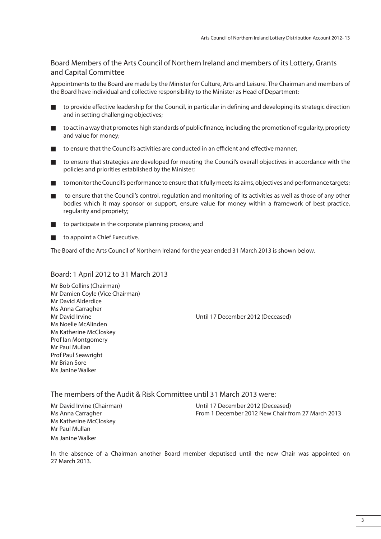# Board Members of the Arts Council of Northern Ireland and members of its Lottery, Grants and Capital Committee

Appointments to the Board are made by the Minister for Culture, Arts and Leisure. The Chairman and members of the Board have individual and collective responsibility to the Minister as Head of Department:

- to provide effective leadership for the Council, in particular in defining and developing its strategic direction and in setting challenging objectives;
- to act in a way that promotes high standards of public finance, including the promotion of regularity, propriety and value for money;
- to ensure that the Council's activities are conducted in an efficient and effective manner;
- to ensure that strategies are developed for meeting the Council's overall objectives in accordance with the policies and priorities established by the Minister;
- to monitor the Council's performance to ensure that it fully meets its aims, objectives and performance targets;
- to ensure that the Council's control, regulation and monitoring of its activities as well as those of any other bodies which it may sponsor or support, ensure value for money within a framework of best practice, regularity and propriety;
- to participate in the corporate planning process; and
- to appoint a Chief Executive.

The Board of the Arts Council of Northern Ireland for the year ended 31 March 2013 is shown below.

# Board: 1 April 2012 to 31 March 2013

Mr Bob Collins (Chairman) Mr Damien Coyle (Vice Chairman) Mr David Alderdice Ms Anna Carragher Ms Noelle McAlinden Ms Katherine McCloskey Prof Ian Montgomery Mr Paul Mullan Prof Paul Seawright Mr Brian Sore Ms Janine Walker

Mr David Irvine Until 17 December 2012 (Deceased)

The members of the Audit & Risk Committee until 31 March 2013 were:

Ms Katherine McCloskey Mr Paul Mullan Ms Janine Walker

Mr David Irvine (Chairman) Until 17 December 2012 (Deceased) Ms Anna Carragher From 1 December 2012 New Chair from 27 March 2013

In the absence of a Chairman another Board member deputised until the new Chair was appointed on 27 March 2013.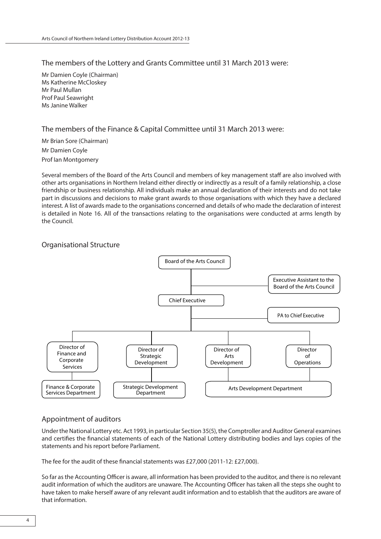# The members of the Lottery and Grants Committee until 31 March 2013 were:

Mr Damien Coyle (Chairman) Ms Katherine McCloskey Mr Paul Mullan Prof Paul Seawright Ms Janine Walker

# The members of the Finance & Capital Committee until 31 March 2013 were:

Mr Brian Sore (Chairman) Mr Damien Coyle Prof Ian Montgomery

Several members of the Board of the Arts Council and members of key management staff are also involved with other arts organisations in Northern Ireland either directly or indirectly as a result of a family relationship, a close friendship or business relationship. All individuals make an annual declaration of their interests and do not take part in discussions and decisions to make grant awards to those organisations with which they have a declared interest. A list of awards made to the organisations concerned and details of who made the declaration of interest is detailed in Note 16. All of the transactions relating to the organisations were conducted at arms length by the Council.

# Organisational Structure



# Appointment of auditors

Under the National Lottery etc. Act 1993, in particular Section 35(5), the Comptroller and Auditor General examines and certifies the financial statements of each of the National Lottery distributing bodies and lays copies of the statements and his report before Parliament.

The fee for the audit of these financial statements was £27,000 (2011-12: £27,000).

So far as the Accounting Officer is aware, all information has been provided to the auditor, and there is no relevant audit information of which the auditors are unaware. The Accounting Officer has taken all the steps she ought to have taken to make herself aware of any relevant audit information and to establish that the auditors are aware of that information.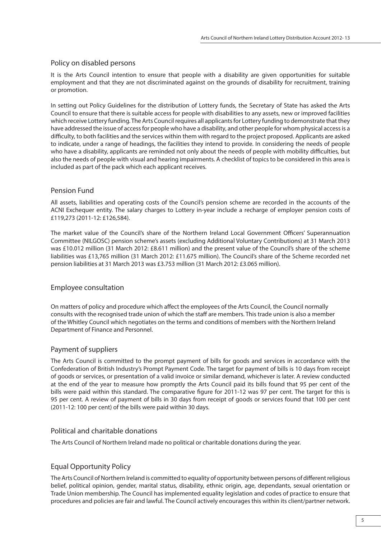# Policy on disabled persons

It is the Arts Council intention to ensure that people with a disability are given opportunities for suitable employment and that they are not discriminated against on the grounds of disability for recruitment, training or promotion.

In setting out Policy Guidelines for the distribution of Lottery funds, the Secretary of State has asked the Arts Council to ensure that there is suitable access for people with disabilities to any assets, new or improved facilities which receive Lottery funding. The Arts Council requires all applicants for Lottery funding to demonstrate that they have addressed the issue of access for people who have a disability, and other people for whom physical access is a difficulty, to both facilities and the services within them with regard to the project proposed. Applicants are asked to indicate, under a range of headings, the facilities they intend to provide. In considering the needs of people who have a disability, applicants are reminded not only about the needs of people with mobility difficulties, but also the needs of people with visual and hearing impairments. A checklist of topics to be considered in this area is included as part of the pack which each applicant receives.

# Pension Fund

All assets, liabilities and operating costs of the Council's pension scheme are recorded in the accounts of the ACNI Exchequer entity. The salary charges to Lottery in-year include a recharge of employer pension costs of £119,273 (2011-12: £126,584).

The market value of the Council's share of the Northern Ireland Local Government Officers' Superannuation Committee (NILGOSC) pension scheme's assets (excluding Additional Voluntary Contributions) at 31 March 2013 was £10.012 million (31 March 2012: £8.611 million) and the present value of the Council's share of the scheme liabilities was £13,765 million (31 March 2012: £11.675 million). The Council's share of the Scheme recorded net pension liabilities at 31 March 2013 was £3.753 million (31 March 2012: £3.065 million).

# Employee consultation

On matters of policy and procedure which affect the employees of the Arts Council, the Council normally consults with the recognised trade union of which the staff are members. This trade union is also a member of the Whitley Council which negotiates on the terms and conditions of members with the Northern Ireland Department of Finance and Personnel.

# Payment of suppliers

The Arts Council is committed to the prompt payment of bills for goods and services in accordance with the Confederation of British Industry's Prompt Payment Code. The target for payment of bills is 10 days from receipt of goods or services, or presentation of a valid invoice or similar demand, whichever is later. A review conducted at the end of the year to measure how promptly the Arts Council paid its bills found that 95 per cent of the bills were paid within this standard. The comparative figure for 2011-12 was 97 per cent. The target for this is 95 per cent. A review of payment of bills in 30 days from receipt of goods or services found that 100 per cent (2011-12: 100 per cent) of the bills were paid within 30 days.

# Political and charitable donations

The Arts Council of Northern Ireland made no political or charitable donations during the year.

# Equal Opportunity Policy

The Arts Council of Northern Ireland is committed to equality of opportunity between persons of different religious belief, political opinion, gender, marital status, disability, ethnic origin, age, dependants, sexual orientation or Trade Union membership. The Council has implemented equality legislation and codes of practice to ensure that procedures and policies are fair and lawful. The Council actively encourages this within its client/partner network.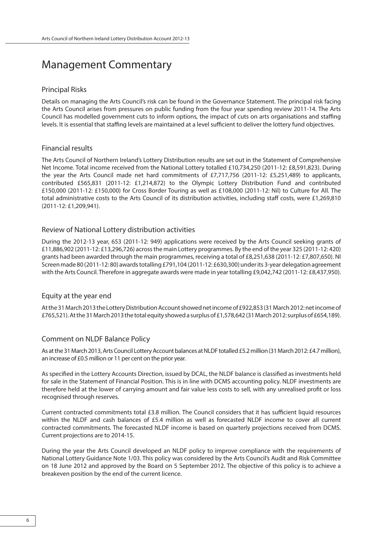# Management Commentary

### Principal Risks

Details on managing the Arts Council's risk can be found in the Governance Statement. The principal risk facing the Arts Council arises from pressures on public funding from the four year spending review 2011-14. The Arts Council has modelled government cuts to inform options, the impact of cuts on arts organisations and staffing levels. It is essential that staffing levels are maintained at a level sufficient to deliver the lottery fund objectives.

# Financial results

The Arts Council of Northern Ireland's Lottery Distribution results are set out in the Statement of Comprehensive Net Income. Total income received from the National Lottery totalled £10,734,250 (2011-12: £8,591,823). During the year the Arts Council made net hard commitments of £7,717,756 (2011-12: £5,251,489) to applicants, contributed £565,831 (2011-12: £1,214,872) to the Olympic Lottery Distribution Fund and contributed £150,000 (2011-12: £150,000) for Cross Border Touring as well as £108,000 (2011-12: Nil) to Culture for All. The total administrative costs to the Arts Council of its distribution activities, including staff costs, were £1,269,810 (2011-12: £1,209,941).

# Review of National Lottery distribution activities

During the 2012-13 year, 653 (2011-12: 949) applications were received by the Arts Council seeking grants of £11,886,902 (2011-12: £13,296,726) across the main Lottery programmes. By the end of the year 325 (2011-12: 420) grants had been awarded through the main programmes, receiving a total of £8,251,638 (2011-12: £7,807,650). NI Screen made 80 (2011-12: 80) awards totalling £791,104 (2011-12: £630,300) under its 3-year delegation agreement with the Arts Council. Therefore in aggregate awards were made in year totalling £9,042,742 (2011-12: £8,437,950).

# Equity at the year end

At the 31 March 2013 the Lottery Distribution Account showed net income of £922,853 (31 March 2012: net income of £765,521). At the 31 March 2013 the total equity showed a surplus of £1,578,642 (31 March 2012: surplus of £654,189).

# Comment on NLDF Balance Policy

As at the 31 March 2013, Arts Council Lottery Account balances at NLDF totalled £5.2 million (31 March 2012: £4.7 million), an increase of £0.5 million or 11 per cent on the prior year.

As specified in the Lottery Accounts Direction, issued by DCAL, the NLDF balance is classified as investments held for sale in the Statement of Financial Position. This is in line with DCMS accounting policy. NLDF investments are therefore held at the lower of carrying amount and fair value less costs to sell, with any unrealised profit or loss recognised through reserves.

Current contracted commitments total £3.8 million. The Council considers that it has sufficient liquid resources within the NLDF and cash balances of £5.4 million as well as forecasted NLDF income to cover all current contracted commitments. The forecasted NLDF income is based on quarterly projections received from DCMS. Current projections are to 2014-15.

During the year the Arts Council developed an NLDF policy to improve compliance with the requirements of National Lottery Guidance Note 1/03. This policy was considered by the Arts Council's Audit and Risk Committee on 18 June 2012 and approved by the Board on 5 September 2012. The objective of this policy is to achieve a breakeven position by the end of the current licence.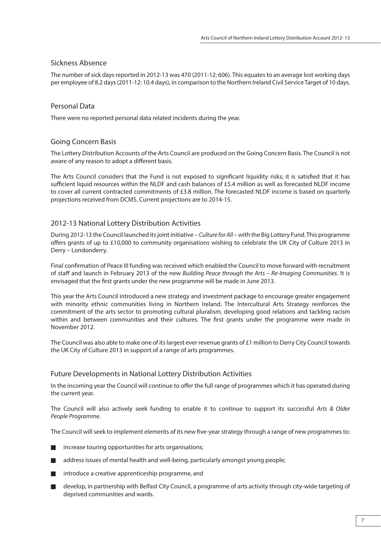# Sickness Absence

The number of sick days reported in 2012-13 was 470 (2011-12: 606). This equates to an average lost working days per employee of 8.2 days (2011-12: 10.4 days), in comparison to the Northern Ireland Civil Service Target of 10 days.

# Personal Data

There were no reported personal data related incidents during the year.

# Going Concern Basis

The Lottery Distribution Accounts of the Arts Council are produced on the Going Concern Basis. The Council is not aware of any reason to adopt a different basis.

The Arts Council considers that the Fund is not exposed to significant liquidity risks; it is satisfied that it has sufficient liquid resources within the NLDF and cash balances of £5.4 million as well as forecasted NLDF income to cover all current contracted commitments of £3.8 million. The forecasted NLDF income is based on quarterly projections received from DCMS. Current projections are to 2014-15.

# 2012-13 National Lottery Distribution Activities

During 2012-13 the Council launched its joint initiative – Culture for All – with the Big Lottery Fund. This programme offers grants of up to £10,000 to community organisations wishing to celebrate the UK City of Culture 2013 in Derry – Londonderry.

Final confirmation of Peace III funding was received which enabled the Council to move forward with recruitment of staff and launch in February 2013 of the new Building Peace through the Arts – Re-Imaging Communities. It is envisaged that the first grants under the new programme will be made in June 2013.

This year the Arts Council introduced a new strategy and investment package to encourage greater engagement with minority ethnic communities living in Northern Ireland. The Intercultural Arts Strategy reinforces the commitment of the arts sector to promoting cultural pluralism, developing good relations and tackling racism within and between communities and their cultures. The first grants under the programme were made in November 2012.

The Council was also able to make one of its largest ever revenue grants of £1 million to Derry City Council towards the UK City of Culture 2013 in support of a range of arts programmes.

# Future Developments in National Lottery Distribution Activities

In the incoming year the Council will continue to offer the full range of programmes which it has operated during the current year.

The Council will also actively seek funding to enable it to continue to support its successful Arts & Older People Programme.

The Council will seek to implement elements of its new five-year strategy through a range of new programmes to:

- $\blacksquare$  increase touring opportunities for arts organisations;
- address issues of mental health and well-being, particularly amongst young people;
- introduce a creative apprenticeship programme, and
- develop, in partnership with Belfast City Council, a programme of arts activity through city-wide targeting of deprived communities and wards.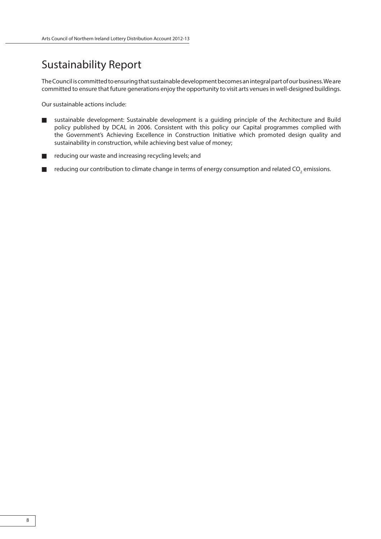# Sustainability Report

The Council is committed to ensuring that sustainable development becomes an integral part of our business. We are committed to ensure that future generations enjoy the opportunity to visit arts venues in well-designed buildings.

Our sustainable actions include:

- sustainable development: Sustainable development is a guiding principle of the Architecture and Build policy published by DCAL in 2006. Consistent with this policy our Capital programmes complied with the Government's Achieving Excellence in Construction Initiative which promoted design quality and sustainability in construction, while achieving best value of money;
- reducing our waste and increasing recycling levels; and
- **The Figure 2 contribution to climate change in terms of energy consumption and related CO<sub>2</sub> emissions.**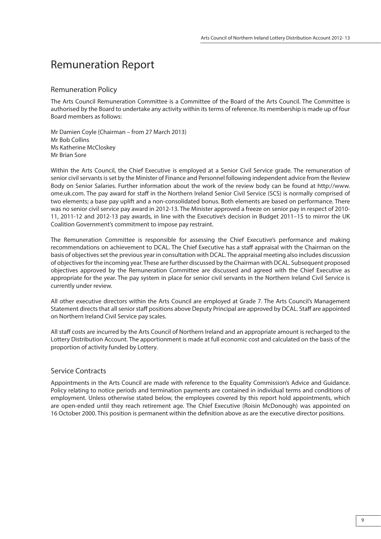# Remuneration Report

#### Remuneration Policy

The Arts Council Remuneration Committee is a Committee of the Board of the Arts Council. The Committee is authorised by the Board to undertake any activity within its terms of reference. Its membership is made up of four Board members as follows:

Mr Damien Coyle (Chairman – from 27 March 2013) Mr Bob Collins Ms Katherine McCloskey Mr Brian Sore

Within the Arts Council, the Chief Executive is employed at a Senior Civil Service grade. The remuneration of senior civil servants is set by the Minister of Finance and Personnel following independent advice from the Review Body on Senior Salaries. Further information about the work of the review body can be found at http://www. ome.uk.com. The pay award for staff in the Northern Ireland Senior Civil Service (SCS) is normally comprised of two elements; a base pay uplift and a non-consolidated bonus. Both elements are based on performance. There was no senior civil service pay award in 2012-13. The Minister approved a freeze on senior pay in respect of 2010- 11, 2011-12 and 2012-13 pay awards, in line with the Executive's decision in Budget 2011–15 to mirror the UK Coalition Government's commitment to impose pay restraint.

The Remuneration Committee is responsible for assessing the Chief Executive's performance and making recommendations on achievement to DCAL. The Chief Executive has a staff appraisal with the Chairman on the basis of objectives set the previous year in consultation with DCAL. The appraisal meeting also includes discussion of objectives for the incoming year. These are further discussed by the Chairman with DCAL. Subsequent proposed objectives approved by the Remuneration Committee are discussed and agreed with the Chief Executive as appropriate for the year. The pay system in place for senior civil servants in the Northern Ireland Civil Service is currently under review.

All other executive directors within the Arts Council are employed at Grade 7. The Arts Council's Management Statement directs that all senior staff positions above Deputy Principal are approved by DCAL. Staff are appointed on Northern Ireland Civil Service pay scales.

All staff costs are incurred by the Arts Council of Northern Ireland and an appropriate amount is recharged to the Lottery Distribution Account. The apportionment is made at full economic cost and calculated on the basis of the proportion of activity funded by Lottery.

# Service Contracts

Appointments in the Arts Council are made with reference to the Equality Commission's Advice and Guidance. Policy relating to notice periods and termination payments are contained in individual terms and conditions of employment. Unless otherwise stated below, the employees covered by this report hold appointments, which are open-ended until they reach retirement age. The Chief Executive (Roisin McDonough) was appointed on 16 October 2000. This position is permanent within the definition above as are the executive director positions.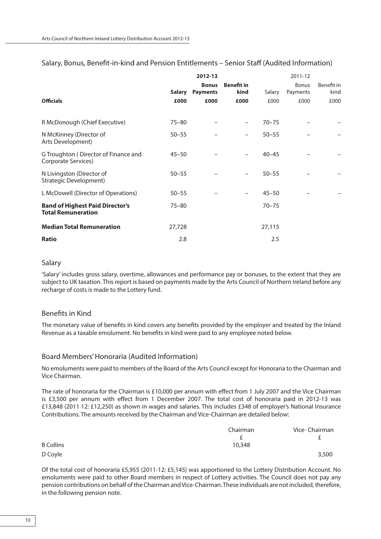|                                                                     |               | 2012-13                         |                           |           | 2011-12                  |                    |
|---------------------------------------------------------------------|---------------|---------------------------------|---------------------------|-----------|--------------------------|--------------------|
|                                                                     | <b>Salary</b> | <b>Bonus</b><br><b>Payments</b> | <b>Benefit in</b><br>kind | Salary    | <b>Bonus</b><br>Payments | Benefit in<br>kind |
| <b>Officials</b>                                                    | £000          | £000                            | £000                      | £000      | £000                     | £000               |
| R McDonough (Chief Executive)                                       | $75 - 80$     |                                 | -                         | $70 - 75$ |                          |                    |
| N McKinney (Director of<br>Arts Development)                        | $50 - 55$     |                                 | $\overline{\phantom{0}}$  | $50 - 55$ |                          |                    |
| G Troughton (Director of Finance and<br>Corporate Services)         | $45 - 50$     |                                 |                           | $40 - 45$ |                          |                    |
| N Livingston (Director of<br>Strategic Development)                 | $50 - 55$     |                                 | -                         | $50 - 55$ |                          |                    |
| L McDowell (Director of Operations)                                 | $50 - 55$     |                                 |                           | $45 - 50$ |                          |                    |
| <b>Band of Highest Paid Director's</b><br><b>Total Remuneration</b> | $75 - 80$     |                                 |                           | $70 - 75$ |                          |                    |
| <b>Median Total Remuneration</b>                                    | 27,728        |                                 |                           | 27,115    |                          |                    |
| <b>Ratio</b>                                                        | 2.8           |                                 |                           | 2.5       |                          |                    |

# Salary, Bonus, Benefit-in-kind and Pension Entitlements – Senior Staff (Audited Information)

### Salary

'Salary' includes gross salary, overtime, allowances and performance pay or bonuses, to the extent that they are subject to UK taxation. This report is based on payments made by the Arts Council of Northern Ireland before any recharge of costs is made to the Lottery fund.

# Benefits in Kind

The monetary value of benefits in kind covers any benefits provided by the employer and treated by the Inland Revenue as a taxable emolument. No benefits in kind were paid to any employee noted below.

# Board Members' Honoraria (Audited Information)

No emoluments were paid to members of the Board of the Arts Council except for Honoraria to the Chairman and Vice Chairman.

The rate of honoraria for the Chairman is £10,000 per annum with effect from 1 July 2007 and the Vice Chairman is £3,500 per annum with effect from 1 December 2007. The total cost of honoraria paid in 2012-13 was £13,848 (2011 12: £12,250) as shown in wages and salaries. This includes £348 of employer's National Insurance Contributions. The amounts received by the Chairman and Vice-Chairman are detailed below:

|                  | Chairman | Vice-Chairman |  |  |
|------------------|----------|---------------|--|--|
|                  |          |               |  |  |
| <b>B</b> Collins | 10,348   |               |  |  |
| D Coyle          |          | 3,500         |  |  |

Of the total cost of honoraria £5,955 (2011-12: £5,145) was apportioned to the Lottery Distribution Account. No emoluments were paid to other Board members in respect of Lottery activities. The Council does not pay any pension contributions on behalf of the Chairman and Vice-Chairman. These individuals are not included, therefore, in the following pension note.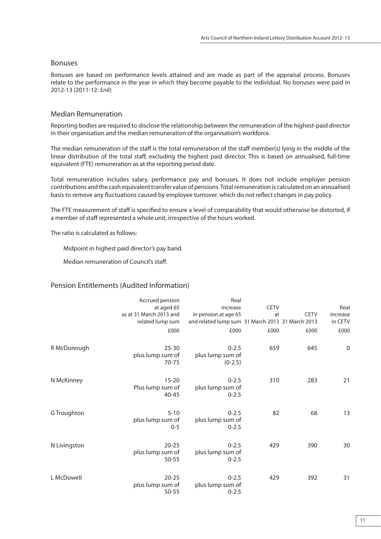# Bonuses

Bonuses are based on performance levels attained and are made as part of the appraisal process. Bonuses relate to the performance in the year in which they become payable to the individual. No bonuses were paid in 2012-13 (2011-12: £nil)

# Median Remuneration

Reporting bodies are required to disclose the relationship between the remuneration of the highest-paid director in their organisation and the median remuneration of the organisation's workforce.

The median remuneration of the staff is the total remuneration of the staff member(s) lying in the middle of the linear distribution of the total staff, excluding the highest paid director. This is based on annualised, full-time equivalent (FTE) remuneration as at the reporting period date.

Total remuneration includes salary, performance pay and bonuses. It does not include employer pension contributions and the cash equivalent transfer value of pensions. Total remuneration is calculated on an annualised basis to remove any fluctuations caused by employee turnover, which do not reflect changes in pay policy.

The FTE measurement of staff is specified to ensure a level of comparability that would otherwise be distorted, if a member of staff represented a whole unit, irrespective of the hours worked.

The ratio is calculated as follows:

Midpoint in highest paid director's pay band.

Median remuneration of Council's staff.

# Pension Entitlements (Audited Information)

|              | Accrued pension                         | Real                                             |             |             |                  |
|--------------|-----------------------------------------|--------------------------------------------------|-------------|-------------|------------------|
|              | at aged 65                              | increase                                         | <b>CETV</b> |             | Real             |
|              | as at 31 March 2013 and                 | in pension at age 65                             | at          | <b>CETV</b> | increase         |
|              | related lump sum                        | and related lump sum 31 March 2013 31 March 2013 |             |             | in CETV          |
|              | £000                                    | £000                                             | £000        | £000        | £000             |
| R McDonough  | $25 - 30$<br>plus lump sum of<br>70-75  | $0 - 2.5$<br>plus lump sum of<br>$(0-2.5)$       | 659         | 645         | $\boldsymbol{0}$ |
| N McKinney   | $15 - 20$<br>Plus lump sum of<br>40-45  | $0 - 2.5$<br>plus lump sum of<br>$0 - 2.5$       | 310         | 283         | 21               |
| G Troughton  | $5 - 10$<br>plus lump sum of<br>$0 - 5$ | $0 - 2.5$<br>plus lump sum of<br>$0 - 2.5$       | 82          | 68          | 13               |
| N Livingston | $20 - 25$<br>plus lump sum of<br>50-55  | $0 - 2.5$<br>plus lump sum of<br>$0 - 2.5$       | 429         | 390         | 30               |
| L McDowell   | $20 - 25$<br>plus lump sum of<br>50-55  | $0 - 2.5$<br>plus lump sum of<br>$0 - 2.5$       | 429         | 392         | 31               |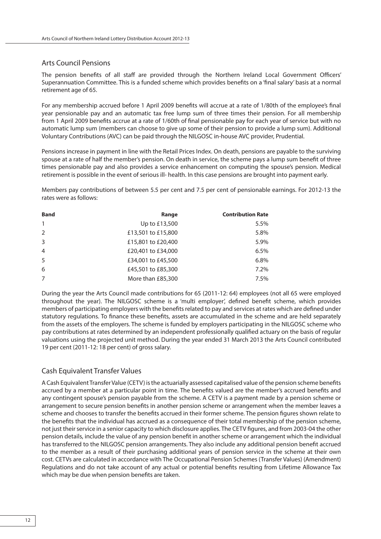# Arts Council Pensions

The pension benefits of all staff are provided through the Northern Ireland Local Government Officers' Superannuation Committee. This is a funded scheme which provides benefits on a 'final salary' basis at a normal retirement age of 65.

For any membership accrued before 1 April 2009 benefits will accrue at a rate of 1/80th of the employee's final year pensionable pay and an automatic tax free lump sum of three times their pension. For all membership from 1 April 2009 benefits accrue at a rate of 1/60th of final pensionable pay for each year of service but with no automatic lump sum (members can choose to give up some of their pension to provide a lump sum). Additional Voluntary Contributions (AVC) can be paid through the NILGOSC in-house AVC provider, Prudential.

Pensions increase in payment in line with the Retail Prices Index. On death, pensions are payable to the surviving spouse at a rate of half the member's pension. On death in service, the scheme pays a lump sum benefit of three times pensionable pay and also provides a service enhancement on computing the spouse's pension. Medical retirement is possible in the event of serious ill- health. In this case pensions are brought into payment early.

Members pay contributions of between 5.5 per cent and 7.5 per cent of pensionable earnings. For 2012-13 the rates were as follows:

| <b>Band</b>    | Range              | <b>Contribution Rate</b> |
|----------------|--------------------|--------------------------|
| $\mathbf{1}$   | Up to £13,500      | 5.5%                     |
| $\mathcal{P}$  | £13,501 to £15,800 | 5.8%                     |
| 3              | £15,801 to £20,400 | 5.9%                     |
| $\overline{4}$ | £20,401 to £34,000 | 6.5%                     |
| 5              | £34,001 to £45,500 | 6.8%                     |
| 6              | £45,501 to £85,300 | $7.2\%$                  |
| 7              | More than £85,300  | 7.5%                     |

During the year the Arts Council made contributions for 65 (2011-12: 64) employees (not all 65 were employed throughout the year). The NILGOSC scheme is a 'multi employer', defined benefit scheme, which provides members of participating employers with the benefits related to pay and services at rates which are defined under statutory regulations. To finance these benefits, assets are accumulated in the scheme and are held separately from the assets of the employers. The scheme is funded by employers participating in the NILGOSC scheme who pay contributions at rates determined by an independent professionally qualified actuary on the basis of regular valuations using the projected unit method. During the year ended 31 March 2013 the Arts Council contributed 19 per cent (2011-12: 18 per cent) of gross salary.

# Cash Equivalent Transfer Values

A Cash Equivalent Transfer Value (CETV) is the actuarially assessed capitalised value of the pension scheme benefits accrued by a member at a particular point in time. The benefits valued are the member's accrued benefits and any contingent spouse's pension payable from the scheme. A CETV is a payment made by a pension scheme or arrangement to secure pension benefits in another pension scheme or arrangement when the member leaves a scheme and chooses to transfer the benefits accrued in their former scheme. The pension figures shown relate to the benefits that the individual has accrued as a consequence of their total membership of the pension scheme, not just their service in a senior capacity to which disclosure applies. The CETV figures, and from 2003-04 the other pension details, include the value of any pension benefit in another scheme or arrangement which the individual has transferred to the NILGOSC pension arrangements. They also include any additional pension benefit accrued to the member as a result of their purchasing additional years of pension service in the scheme at their own cost. CETVs are calculated in accordance with The Occupational Pension Schemes (Transfer Values) (Amendment) Regulations and do not take account of any actual or potential benefits resulting from Lifetime Allowance Tax which may be due when pension benefits are taken.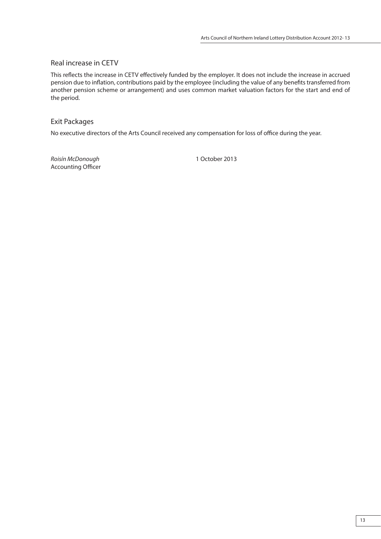# Real increase in CETV

This reflects the increase in CETV effectively funded by the employer. It does not include the increase in accrued pension due to inflation, contributions paid by the employee (including the value of any benefits transferred from another pension scheme or arrangement) and uses common market valuation factors for the start and end of the period.

# Exit Packages

No executive directors of the Arts Council received any compensation for loss of office during the year.

Roisín McDonough 1 October 2013 Accounting Officer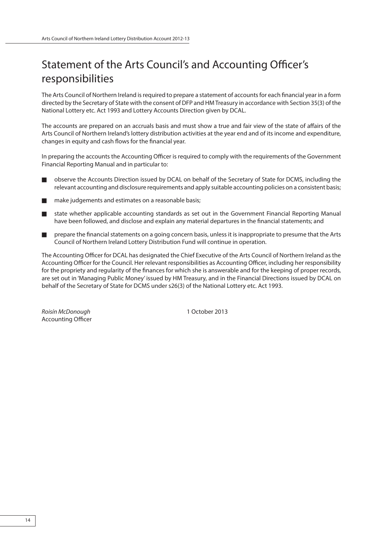# Statement of the Arts Council's and Accounting Officer's responsibilities

The Arts Council of Northern Ireland is required to prepare a statement of accounts for each financial year in a form directed by the Secretary of State with the consent of DFP and HM Treasury in accordance with Section 35(3) of the National Lottery etc. Act 1993 and Lottery Accounts Direction given by DCAL.

The accounts are prepared on an accruals basis and must show a true and fair view of the state of affairs of the Arts Council of Northern Ireland's lottery distribution activities at the year end and of its income and expenditure, changes in equity and cash flows for the financial year.

In preparing the accounts the Accounting Officer is required to comply with the requirements of the Government Financial Reporting Manual and in particular to:

- observe the Accounts Direction issued by DCAL on behalf of the Secretary of State for DCMS, including the relevant accounting and disclosure requirements and apply suitable accounting policies on a consistent basis;
- make judgements and estimates on a reasonable basis;
- state whether applicable accounting standards as set out in the Government Financial Reporting Manual have been followed, and disclose and explain any material departures in the financial statements; and
- prepare the financial statements on a going concern basis, unless it is inappropriate to presume that the Arts Council of Northern Ireland Lottery Distribution Fund will continue in operation.

The Accounting Officer for DCAL has designated the Chief Executive of the Arts Council of Northern Ireland as the Accounting Officer for the Council. Her relevant responsibilities as Accounting Officer, including her responsibility for the propriety and regularity of the finances for which she is answerable and for the keeping of proper records, are set out in 'Managing Public Money' issued by HM Treasury, and in the Financial Directions issued by DCAL on behalf of the Secretary of State for DCMS under s26(3) of the National Lottery etc. Act 1993.

Roisín McDonough 1 October 2013 **Accounting Officer**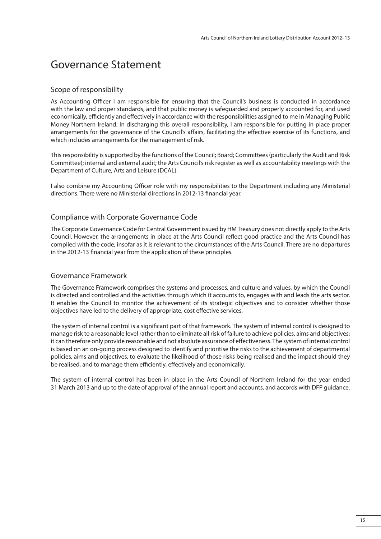# Governance Statement

# Scope of responsibility

As Accounting Officer I am responsible for ensuring that the Council's business is conducted in accordance with the law and proper standards, and that public money is safeguarded and properly accounted for, and used economically, efficiently and effectively in accordance with the responsibilities assigned to me in Managing Public Money Northern Ireland. In discharging this overall responsibility, I am responsible for putting in place proper arrangements for the governance of the Council's affairs, facilitating the effective exercise of its functions, and which includes arrangements for the management of risk.

This responsibility is supported by the functions of the Council; Board; Committees (particularly the Audit and Risk Committee); internal and external audit; the Arts Council's risk register as well as accountability meetings with the Department of Culture, Arts and Leisure (DCAL).

I also combine my Accounting Officer role with my responsibilities to the Department including any Ministerial directions. There were no Ministerial directions in 2012-13 financial year.

# Compliance with Corporate Governance Code

The Corporate Governance Code for Central Government issued by HM Treasury does not directly apply to the Arts Council. However, the arrangements in place at the Arts Council reflect good practice and the Arts Council has complied with the code, insofar as it is relevant to the circumstances of the Arts Council. There are no departures in the 2012-13 financial year from the application of these principles.

# Governance Framework

The Governance Framework comprises the systems and processes, and culture and values, by which the Council is directed and controlled and the activities through which it accounts to, engages with and leads the arts sector. It enables the Council to monitor the achievement of its strategic objectives and to consider whether those objectives have led to the delivery of appropriate, cost effective services.

The system of internal control is a significant part of that framework. The system of internal control is designed to manage risk to a reasonable level rather than to eliminate all risk of failure to achieve policies, aims and objectives; it can therefore only provide reasonable and not absolute assurance of effectiveness. The system of internal control is based on an on-going process designed to identify and prioritise the risks to the achievement of departmental policies, aims and objectives, to evaluate the likelihood of those risks being realised and the impact should they be realised, and to manage them efficiently, effectively and economically.

The system of internal control has been in place in the Arts Council of Northern Ireland for the year ended 31 March 2013 and up to the date of approval of the annual report and accounts, and accords with DFP guidance.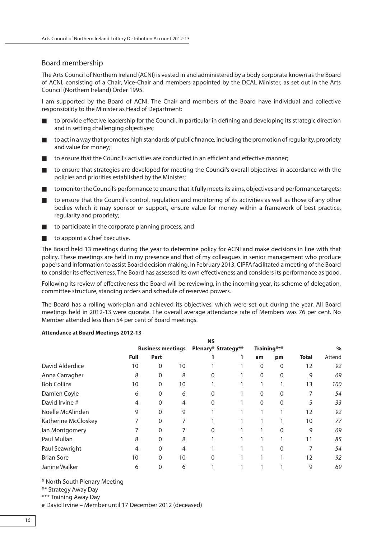# Board membership

The Arts Council of Northern Ireland (ACNI) is vested in and administered by a body corporate known as the Board of ACNI, consisting of a Chair, Vice-Chair and members appointed by the DCAL Minister, as set out in the Arts Council (Northern Ireland) Order 1995.

I am supported by the Board of ACNI. The Chair and members of the Board have individual and collective responsibility to the Minister as Head of Department:

- to provide effective leadership for the Council, in particular in defining and developing its strategic direction and in setting challenging objectives;
- to act in a way that promotes high standards of public finance, including the promotion of regularity, propriety and value for money;
- to ensure that the Council's activities are conducted in an efficient and effective manner;
- to ensure that strategies are developed for meeting the Council's overall objectives in accordance with the policies and priorities established by the Minister;
- to monitor the Council's performance to ensure that it fully meets its aims, objectives and performance targets;
- to ensure that the Council's control, regulation and monitoring of its activities as well as those of any other bodies which it may sponsor or support, ensure value for money within a framework of best practice, regularity and propriety;
- to participate in the corporate planning process; and
- to appoint a Chief Executive.

The Board held 13 meetings during the year to determine policy for ACNI and make decisions in line with that policy. These meetings are held in my presence and that of my colleagues in senior management who produce papers and information to assist Board decision making. In February 2013, CIPFA facilitated a meeting of the Board to consider its effectiveness. The Board has assessed its own effectiveness and considers its performance as good.

Following its review of effectiveness the Board will be reviewing, in the incoming year, its scheme of delegation, committee structure, standing orders and schedule of reserved powers.

The Board has a rolling work-plan and achieved its objectives, which were set out during the year. All Board meetings held in 2012-13 were quorate. The overall average attendance rate of Members was 76 per cent. No Member attended less than 54 per cent of Board meetings.

#### **Attendance at Board Meetings 2012-13**

|                     | <b>NS</b> |                          |    |                     |  |             |          |              |        |
|---------------------|-----------|--------------------------|----|---------------------|--|-------------|----------|--------------|--------|
|                     |           | <b>Business meetings</b> |    | Plenary* Strategy** |  | Training*** |          |              | $\%$   |
|                     | Full      | Part                     |    |                     |  | am          | pm       | <b>Total</b> | Attend |
| David Alderdice     | 10        | 0                        | 10 |                     |  | 0           | 0        | 12           | 92     |
| Anna Carragher      | 8         | 0                        | 8  | 0                   |  | $\Omega$    | $\Omega$ | 9            | 69     |
| <b>Bob Collins</b>  | 10        | 0                        | 10 |                     |  |             |          | 13           | 100    |
| Damien Coyle        | 6         | $\Omega$                 | 6  | 0                   |  | $\Omega$    | 0        |              | 54     |
| David Irvine #      | 4         | 0                        | 4  | 0                   |  | $\Omega$    | 0        | 5            | 33     |
| Noelle McAlinden    | 9         | 0                        | 9  |                     |  |             |          | 12           | 92     |
| Katherine McCloskey |           | $\Omega$                 | 7  |                     |  |             |          | 10           | 77     |
| lan Montgomery      |           | 0                        |    | $\Omega$            |  |             | $\Omega$ | 9            | 69     |
| Paul Mullan         | 8         | 0                        | 8  |                     |  |             | 1        | 11           | 85     |
| Paul Seawright      | 4         | $\Omega$                 | 4  |                     |  |             | $\Omega$ |              | 54     |
| <b>Brian Sore</b>   | 10        | $\Omega$                 | 10 | 0                   |  |             |          | 12           | 92     |
| Janine Walker       | 6         | 0                        | 6  |                     |  |             |          | 9            | 69     |

\* North South Plenary Meeting

\*\* Strategy Away Day

\*\*\* Training Away Day

# David Irvine – Member until 17 December 2012 (deceased)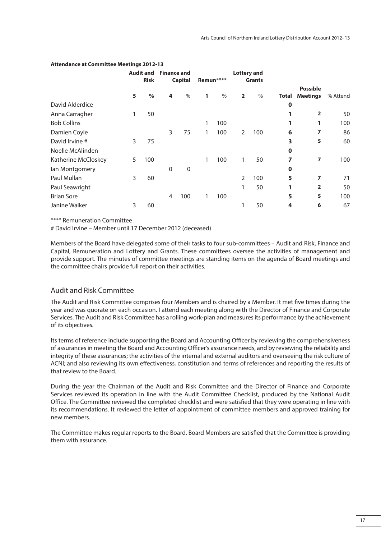|                     |   | <b>Audit and</b><br><b>Risk</b> | <b>Finance and</b> | <b>Capital</b> |   | Remun****     |                | <b>Lottery and</b><br><b>Grants</b> |             |                                    |          |
|---------------------|---|---------------------------------|--------------------|----------------|---|---------------|----------------|-------------------------------------|-------------|------------------------------------|----------|
|                     | 5 | $\%$                            | 4                  | $\frac{0}{0}$  | 1 | $\frac{0}{0}$ | $\overline{2}$ | $\frac{0}{0}$                       | Total       | <b>Possible</b><br><b>Meetings</b> | % Attend |
| David Alderdice     |   |                                 |                    |                |   |               |                |                                     | $\mathbf 0$ |                                    |          |
| Anna Carragher      | 1 | 50                              |                    |                |   |               |                |                                     |             | $\overline{2}$                     | 50       |
| <b>Bob Collins</b>  |   |                                 |                    |                | 1 | 100           |                |                                     | 1           | 1                                  | 100      |
| Damien Coyle        |   |                                 | 3                  | 75             | 1 | 100           | $\overline{2}$ | 100                                 | 6           | 7                                  | 86       |
| David Irvine #      | 3 | 75                              |                    |                |   |               |                |                                     | 3           | 5                                  | 60       |
| Noelle McAlinden    |   |                                 |                    |                |   |               |                |                                     | $\mathbf 0$ |                                    |          |
| Katherine McCloskey | 5 | 100                             |                    |                | 1 | 100           | 1              | 50                                  | 7           | $\overline{ }$                     | 100      |
| lan Montgomery      |   |                                 | $\mathbf 0$        | $\mathbf 0$    |   |               |                |                                     | $\mathbf 0$ |                                    |          |
| Paul Mullan         | 3 | 60                              |                    |                |   |               | 2              | 100                                 | 5           | 7                                  | 71       |
| Paul Seawright      |   |                                 |                    |                |   |               | 1              | 50                                  | 1           | $\overline{\mathbf{2}}$            | 50       |
| <b>Brian Sore</b>   |   |                                 | 4                  | 100            | 1 | 100           |                |                                     | 5           | 5                                  | 100      |
| Janine Walker       | 3 | 60                              |                    |                |   |               |                | 50                                  | 4           | 6                                  | 67       |

#### **Attendance at Committee Meetings 2012-13**

\*\*\*\* Remuneration Committee

# David Irvine – Member until 17 December 2012 (deceased)

Members of the Board have delegated some of their tasks to four sub-committees – Audit and Risk, Finance and Capital, Remuneration and Lottery and Grants. These committees oversee the activities of management and provide support. The minutes of committee meetings are standing items on the agenda of Board meetings and the committee chairs provide full report on their activities.

# Audit and Risk Committee

The Audit and Risk Committee comprises four Members and is chaired by a Member. It met five times during the year and was quorate on each occasion. I attend each meeting along with the Director of Finance and Corporate Services. The Audit and Risk Committee has a rolling work-plan and measures its performance by the achievement of its objectives.

Its terms of reference include supporting the Board and Accounting Officer by reviewing the comprehensiveness of assurances in meeting the Board and Accounting Officer's assurance needs, and by reviewing the reliability and integrity of these assurances; the activities of the internal and external auditors and overseeing the risk culture of ACNI; and also reviewing its own effectiveness, constitution and terms of references and reporting the results of that review to the Board.

During the year the Chairman of the Audit and Risk Committee and the Director of Finance and Corporate Services reviewed its operation in line with the Audit Committee Checklist, produced by the National Audit Office. The Committee reviewed the completed checklist and were satisfied that they were operating in line with its recommendations. It reviewed the letter of appointment of committee members and approved training for new members.

The Committee makes regular reports to the Board. Board Members are satisfied that the Committee is providing them with assurance.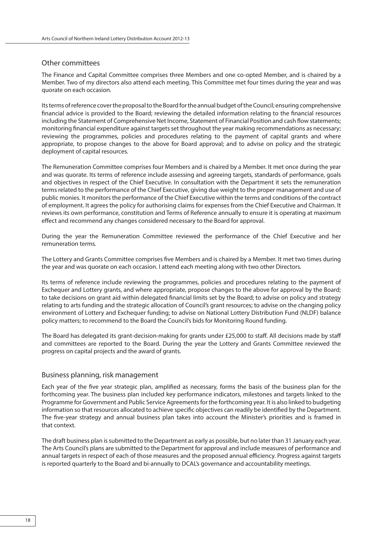# Other committees

The Finance and Capital Committee comprises three Members and one co-opted Member, and is chaired by a Member. Two of my directors also attend each meeting. This Committee met four times during the year and was quorate on each occasion.

Its terms of reference cover the proposal to the Board for the annual budget of the Council; ensuring comprehensive financial advice is provided to the Board; reviewing the detailed information relating to the financial resources including the Statement of Comprehensive Net Income, Statement of Financial Position and cash flow statements; monitoring financial expenditure against targets set throughout the year making recommendations as necessary; reviewing the programmes, policies and procedures relating to the payment of capital grants and where appropriate, to propose changes to the above for Board approval; and to advise on policy and the strategic deployment of capital resources.

The Remuneration Committee comprises four Members and is chaired by a Member. It met once during the year and was quorate. Its terms of reference include assessing and agreeing targets, standards of performance, goals and objectives in respect of the Chief Executive. In consultation with the Department it sets the remuneration terms related to the performance of the Chief Executive, giving due weight to the proper management and use of public monies. It monitors the performance of the Chief Executive within the terms and conditions of the contract of employment. It agrees the policy for authorising claims for expenses from the Chief Executive and Chairman. It reviews its own performance, constitution and Terms of Reference annually to ensure it is operating at maximum effect and recommend any changes considered necessary to the Board for approval.

During the year the Remuneration Committee reviewed the performance of the Chief Executive and her remuneration terms.

The Lottery and Grants Committee comprises five Members and is chaired by a Member. It met two times during the year and was quorate on each occasion. I attend each meeting along with two other Directors.

Its terms of reference include reviewing the programmes, policies and procedures relating to the payment of Exchequer and Lottery grants, and where appropriate, propose changes to the above for approval by the Board; to take decisions on grant aid within delegated financial limits set by the Board; to advise on policy and strategy relating to arts funding and the strategic allocation of Council's grant resources; to advise on the changing policy environment of Lottery and Exchequer funding; to advise on National Lottery Distribution Fund (NLDF) balance policy matters; to recommend to the Board the Council's bids for Monitoring Round funding.

The Board has delegated its grant-decision-making for grants under £25,000 to staff . All decisions made by staff and committees are reported to the Board. During the year the Lottery and Grants Committee reviewed the progress on capital projects and the award of grants.

# Business planning, risk management

Each year of the five year strategic plan, amplified as necessary, forms the basis of the business plan for the forthcoming year. The business plan included key performance indicators, milestones and targets linked to the Programme for Government and Public Service Agreements for the forthcoming year. It is also linked to budgeting information so that resources allocated to achieve specific objectives can readily be identified by the Department. The five-year strategy and annual business plan takes into account the Minister's priorities and is framed in that context.

The draft business plan is submitted to the Department as early as possible, but no later than 31 January each year. The Arts Council's plans are submitted to the Department for approval and include measures of performance and annual targets in respect of each of those measures and the proposed annual efficiency. Progress against targets is reported quarterly to the Board and bi-annually to DCAL's governance and accountability meetings.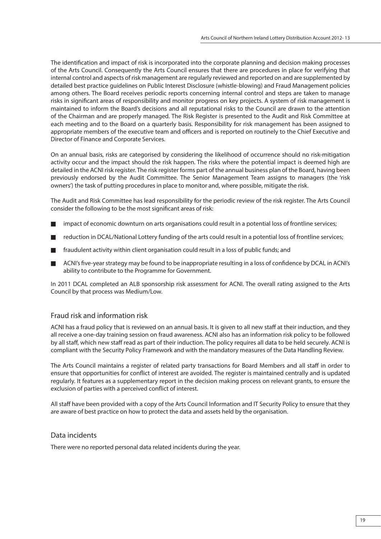The identification and impact of risk is incorporated into the corporate planning and decision making processes of the Arts Council. Consequently the Arts Council ensures that there are procedures in place for verifying that internal control and aspects of risk management are regularly reviewed and reported on and are supplemented by detailed best practice guidelines on Public Interest Disclosure (whistle-blowing) and Fraud Management policies among others. The Board receives periodic reports concerning internal control and steps are taken to manage risks in significant areas of responsibility and monitor progress on key projects. A system of risk management is maintained to inform the Board's decisions and all reputational risks to the Council are drawn to the attention of the Chairman and are properly managed. The Risk Register is presented to the Audit and Risk Committee at each meeting and to the Board on a quarterly basis. Responsibility for risk management has been assigned to appropriate members of the executive team and officers and is reported on routinely to the Chief Executive and Director of Finance and Corporate Services.

On an annual basis, risks are categorised by considering the likelihood of occurrence should no risk-mitigation activity occur and the impact should the risk happen. The risks where the potential impact is deemed high are detailed in the ACNI risk register. The risk register forms part of the annual business plan of the Board, having been previously endorsed by the Audit Committee. The Senior Management Team assigns to managers (the 'risk owners') the task of putting procedures in place to monitor and, where possible, mitigate the risk.

The Audit and Risk Committee has lead responsibility for the periodic review of the risk register. The Arts Council consider the following to be the most significant areas of risk:

- impact of economic downturn on arts organisations could result in a potential loss of frontline services;
- reduction in DCAL/National Lottery funding of the arts could result in a potential loss of frontline services;
- fraudulent activity within client organisation could result in a loss of public funds; and
- ACNI's five-year strategy may be found to be inappropriate resulting in a loss of confidence by DCAL in ACNI's ability to contribute to the Programme for Government.

In 2011 DCAL completed an ALB sponsorship risk assessment for ACNI. The overall rating assigned to the Arts Council by that process was Medium/Low.

# Fraud risk and information risk

ACNI has a fraud policy that is reviewed on an annual basis. It is given to all new staff at their induction, and they all receive a one-day training session on fraud awareness. ACNI also has an information risk policy to be followed by all staff , which new staff read as part of their induction. The policy requires all data to be held securely. ACNI is compliant with the Security Policy Framework and with the mandatory measures of the Data Handling Review.

The Arts Council maintains a register of related party transactions for Board Members and all staff in order to ensure that opportunities for conflict of interest are avoided. The register is maintained centrally and is updated regularly. It features as a supplementary report in the decision making process on relevant grants, to ensure the exclusion of parties with a perceived conflict of interest.

All staff have been provided with a copy of the Arts Council Information and IT Security Policy to ensure that they are aware of best practice on how to protect the data and assets held by the organisation.

# Data incidents

There were no reported personal data related incidents during the year.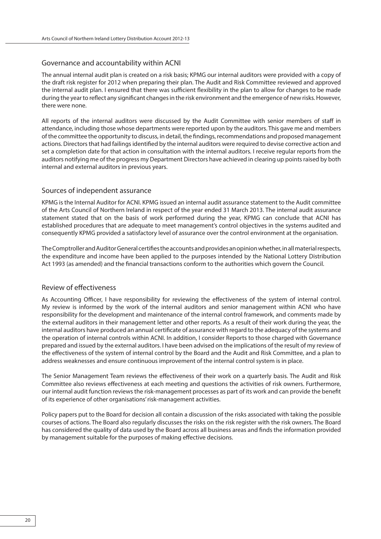# Governance and accountability within ACNI

The annual internal audit plan is created on a risk basis; KPMG our internal auditors were provided with a copy of the draft risk register for 2012 when preparing their plan. The Audit and Risk Committee reviewed and approved the internal audit plan. I ensured that there was sufficient flexibility in the plan to allow for changes to be made during the year to reflect any significant changes in the risk environment and the emergence of new risks. However, there were none.

All reports of the internal auditors were discussed by the Audit Committee with senior members of staff in attendance, including those whose departments were reported upon by the auditors. This gave me and members of the committee the opportunity to discuss, in detail, the findings, recommendations and proposed management actions. Directors that had failings identified by the internal auditors were required to devise corrective action and set a completion date for that action in consultation with the internal auditors. I receive regular reports from the auditors notifying me of the progress my Department Directors have achieved in clearing up points raised by both internal and external auditors in previous years.

# Sources of independent assurance

KPMG is the Internal Auditor for ACNI. KPMG issued an internal audit assurance statement to the Audit committee of the Arts Council of Northern Ireland in respect of the year ended 31 March 2013. The internal audit assurance statement stated that on the basis of work performed during the year, KPMG can conclude that ACNI has established procedures that are adequate to meet management's control objectives in the systems audited and consequently KPMG provided a satisfactory level of assurance over the control environment at the organisation.

The Comptroller and Auditor General certifies the accounts and provides an opinion whether, in all material respects, the expenditure and income have been applied to the purposes intended by the National Lottery Distribution Act 1993 (as amended) and the financial transactions conform to the authorities which govern the Council.

# Review of effectiveness

As Accounting Officer, I have responsibility for reviewing the effectiveness of the system of internal control. My review is informed by the work of the internal auditors and senior management within ACNI who have responsibility for the development and maintenance of the internal control framework, and comments made by the external auditors in their management letter and other reports. As a result of their work during the year, the internal auditors have produced an annual certificate of assurance with regard to the adequacy of the systems and the operation of internal controls within ACNI. In addition, I consider Reports to those charged with Governance prepared and issued by the external auditors. I have been advised on the implications of the result of my review of the effectiveness of the system of internal control by the Board and the Audit and Risk Committee, and a plan to address weaknesses and ensure continuous improvement of the internal control system is in place.

The Senior Management Team reviews the effectiveness of their work on a quarterly basis. The Audit and Risk Committee also reviews effectiveness at each meeting and questions the activities of risk owners. Furthermore, our internal audit function reviews the risk-management processes as part of its work and can provide the benefit of its experience of other organisations' risk-management activities.

Policy papers put to the Board for decision all contain a discussion of the risks associated with taking the possible courses of actions. The Board also regularly discusses the risks on the risk register with the risk owners. The Board has considered the quality of data used by the Board across all business areas and finds the information provided by management suitable for the purposes of making effective decisions.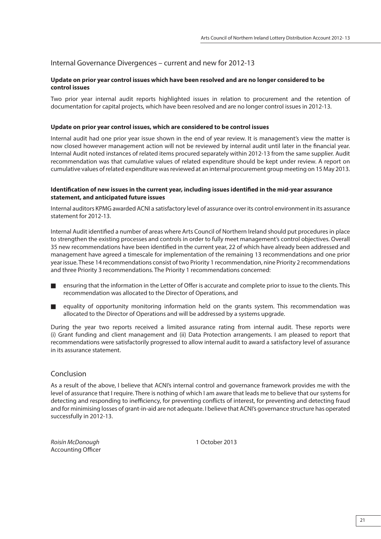# Internal Governance Divergences – current and new for 2012-13

### **Update on prior year control issues which have been resolved and are no longer considered to be control issues**

Two prior year internal audit reports highlighted issues in relation to procurement and the retention of documentation for capital projects, which have been resolved and are no longer control issues in 2012-13.

### **Update on prior year control issues, which are considered to be control issues**

Internal audit had one prior year issue shown in the end of year review. It is management's view the matter is now closed however management action will not be reviewed by internal audit until later in the financial year. Internal Audit noted instances of related items procured separately within 2012-13 from the same supplier. Audit recommendation was that cumulative values of related expenditure should be kept under review. A report on cumulative values of related expenditure was reviewed at an internal procurement group meeting on 15 May 2013.

#### **Identification of new issues in the current year, including issues identified in the mid-year assurance statement, and anticipated future issues**

Internal auditors KPMG awarded ACNI a satisfactory level of assurance over its control environment in its assurance statement for 2012-13.

Internal Audit identified a number of areas where Arts Council of Northern Ireland should put procedures in place to strengthen the existing processes and controls in order to fully meet management's control objectives. Overall 35 new recommendations have been identified in the current year, 22 of which have already been addressed and management have agreed a timescale for implementation of the remaining 13 recommendations and one prior year issue. These 14 recommendations consist of two Priority 1 recommendation, nine Priority 2 recommendations and three Priority 3 recommendations. The Priority 1 recommendations concerned:

- ensuring that the information in the Letter of Offer is accurate and complete prior to issue to the clients. This recommendation was allocated to the Director of Operations, and
- equality of opportunity monitoring information held on the grants system. This recommendation was allocated to the Director of Operations and will be addressed by a systems upgrade.

During the year two reports received a limited assurance rating from internal audit. These reports were (i) Grant funding and client management and (ii) Data Protection arrangements. I am pleased to report that recommendations were satisfactorily progressed to allow internal audit to award a satisfactory level of assurance in its assurance statement.

# Conclusion

As a result of the above, I believe that ACNI's internal control and governance framework provides me with the level of assurance that I require. There is nothing of which I am aware that leads me to believe that our systems for detecting and responding to inefficiency, for preventing conflicts of interest, for preventing and detecting fraud and for minimising losses of grant-in-aid are not adequate. I believe that ACNI's governance structure has operated successfully in 2012-13.

Roisín McDonough 1 October 2013 Accounting Officer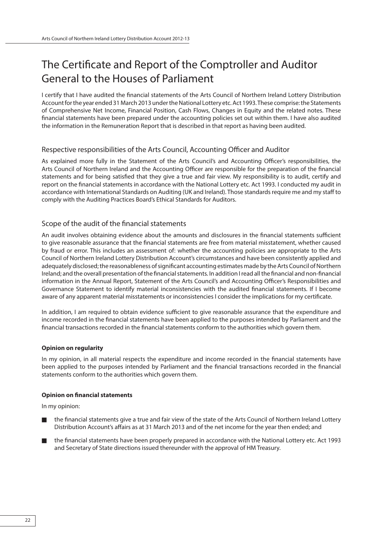# The Certificate and Report of the Comptroller and Auditor General to the Houses of Parliament

I certify that I have audited the financial statements of the Arts Council of Northern Ireland Lottery Distribution Account for the year ended 31 March 2013 under the National Lottery etc. Act 1993. These comprise: the Statements of Comprehensive Net Income, Financial Position, Cash Flows, Changes in Equity and the related notes. These financial statements have been prepared under the accounting policies set out within them. I have also audited the information in the Remuneration Report that is described in that report as having been audited.

# Respective responsibilities of the Arts Council, Accounting Officer and Auditor

As explained more fully in the Statement of the Arts Council's and Accounting Officer's responsibilities, the Arts Council of Northern Ireland and the Accounting Officer are responsible for the preparation of the financial statements and for being satisfied that they give a true and fair view. My responsibility is to audit, certify and report on the financial statements in accordance with the National Lottery etc. Act 1993. I conducted my audit in accordance with International Standards on Auditing (UK and Ireland). Those standards require me and my staff to comply with the Auditing Practices Board's Ethical Standards for Auditors.

# Scope of the audit of the financial statements

An audit involves obtaining evidence about the amounts and disclosures in the financial statements sufficient to give reasonable assurance that the financial statements are free from material misstatement, whether caused by fraud or error. This includes an assessment of: whether the accounting policies are appropriate to the Arts Council of Northern Ireland Lottery Distribution Account's circumstances and have been consistently applied and adequately disclosed; the reasonableness of significant accounting estimates made by the Arts Council of Northern Ireland; and the overall presentation of the financial statements. In addition I read all the financial and non-financial information in the Annual Report, Statement of the Arts Council's and Accounting Officer's Responsibilities and Governance Statement to identify material inconsistencies with the audited financial statements. If I become aware of any apparent material misstatements or inconsistencies I consider the implications for my certificate.

In addition, I am required to obtain evidence sufficient to give reasonable assurance that the expenditure and income recorded in the financial statements have been applied to the purposes intended by Parliament and the financial transactions recorded in the financial statements conform to the authorities which govern them.

#### **Opinion on regularity**

In my opinion, in all material respects the expenditure and income recorded in the financial statements have been applied to the purposes intended by Parliament and the financial transactions recorded in the financial statements conform to the authorities which govern them.

#### **Opinion on financial statements**

In my opinion:

- the financial statements give a true and fair view of the state of the Arts Council of Northern Ireland Lottery Distribution Account's affairs as at 31 March 2013 and of the net income for the year then ended; and
- the financial statements have been properly prepared in accordance with the National Lottery etc. Act 1993 and Secretary of State directions issued thereunder with the approval of HM Treasury.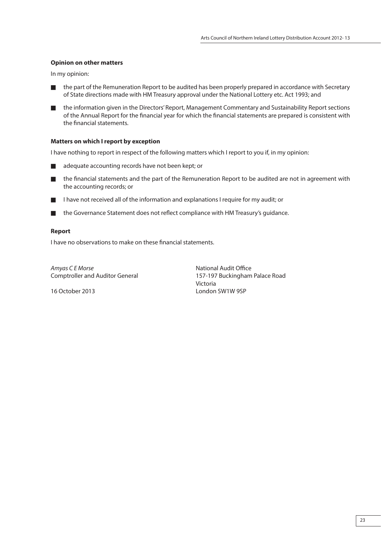# **Opinion on other matters**

In my opinion:

- the part of the Remuneration Report to be audited has been properly prepared in accordance with Secretary of State directions made with HM Treasury approval under the National Lottery etc. Act 1993; and
- the information given in the Directors' Report, Management Commentary and Sustainability Report sections of the Annual Report for the financial year for which the financial statements are prepared is consistent with the financial statements.

# **Matters on which I report by exception**

I have nothing to report in respect of the following matters which I report to you if, in my opinion:

- adequate accounting records have not been kept; or
- $\blacksquare$  the financial statements and the part of the Remuneration Report to be audited are not in agreement with the accounting records; or
- I have not received all of the information and explanations I require for my audit; or
- $\blacksquare$  the Governance Statement does not reflect compliance with HM Treasury's guidance.

### **Report**

I have no observations to make on these financial statements.

Amyas C E Morse National Audit Office

Comptroller and Auditor General 157-197 Buckingham Palace Road Victoria 16 October 2013 London SW1W 9SP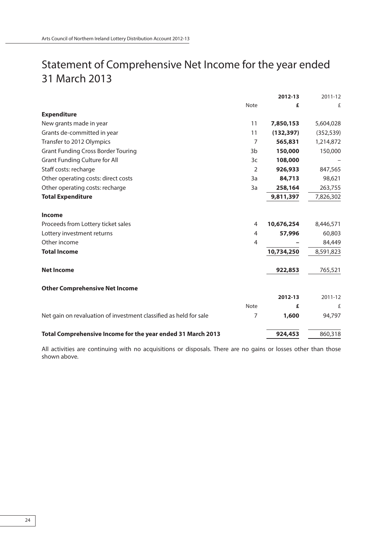# Statement of Comprehensive Net Income for the year ended 31 March 2013

|                                                                   |                | 2012-13    | 2011-12    |
|-------------------------------------------------------------------|----------------|------------|------------|
|                                                                   | Note           | £          | £          |
| <b>Expenditure</b>                                                |                |            |            |
| New grants made in year                                           | 11             | 7,850,153  | 5,604,028  |
| Grants de-committed in year                                       | 11             | (132, 397) | (352, 539) |
| Transfer to 2012 Olympics                                         | 7              | 565,831    | 1,214,872  |
| <b>Grant Funding Cross Border Touring</b>                         | 3 <sub>b</sub> | 150,000    | 150,000    |
| <b>Grant Funding Culture for All</b>                              | 3c             | 108,000    |            |
| Staff costs: recharge                                             | 2              | 926,933    | 847,565    |
| Other operating costs: direct costs                               | 3a             | 84,713     | 98,621     |
| Other operating costs: recharge                                   | 3a             | 258,164    | 263,755    |
| <b>Total Expenditure</b>                                          |                | 9,811,397  | 7,826,302  |
| Income                                                            |                |            |            |
| Proceeds from Lottery ticket sales                                | 4              | 10,676,254 | 8,446,571  |
| Lottery investment returns                                        | 4              | 57,996     | 60,803     |
| Other income                                                      | 4              |            | 84,449     |
| <b>Total Income</b>                                               |                | 10,734,250 | 8,591,823  |
| <b>Net Income</b>                                                 |                | 922,853    | 765,521    |
| <b>Other Comprehensive Net Income</b>                             |                |            |            |
|                                                                   |                | 2012-13    | 2011-12    |
|                                                                   | <b>Note</b>    | £          | £          |
| Net gain on revaluation of investment classified as held for sale | 7              | 1,600      | 94,797     |
| Total Comprehensive Income for the year ended 31 March 2013       |                | 924,453    | 860,318    |

All activities are continuing with no acquisitions or disposals. There are no gains or losses other than those shown above.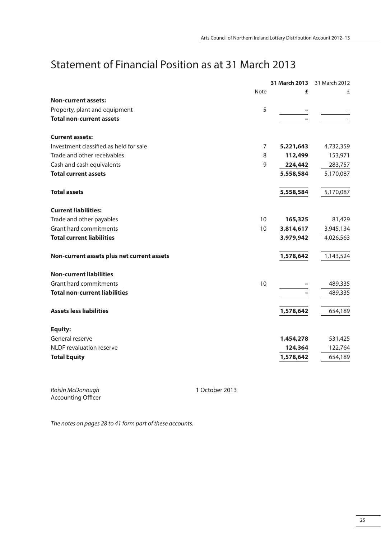# Statement of Financial Position as at 31 March 2013

|                                            |                | 31 March 2013 | 31 March 2012 |
|--------------------------------------------|----------------|---------------|---------------|
|                                            | <b>Note</b>    | £             | £             |
| <b>Non-current assets:</b>                 |                |               |               |
| Property, plant and equipment              | 5              |               |               |
| <b>Total non-current assets</b>            |                |               |               |
| <b>Current assets:</b>                     |                |               |               |
| Investment classified as held for sale     | $\overline{7}$ | 5,221,643     | 4,732,359     |
| Trade and other receivables                | 8              | 112,499       | 153,971       |
| Cash and cash equivalents                  | 9              | 224,442       | 283,757       |
| <b>Total current assets</b>                |                | 5,558,584     | 5,170,087     |
| <b>Total assets</b>                        |                | 5,558,584     | 5,170,087     |
| <b>Current liabilities:</b>                |                |               |               |
| Trade and other payables                   | 10             | 165,325       | 81,429        |
| Grant hard commitments                     | 10             | 3,814,617     | 3,945,134     |
| <b>Total current liabilities</b>           |                | 3,979,942     | 4,026,563     |
| Non-current assets plus net current assets |                | 1,578,642     | 1,143,524     |
| <b>Non-current liabilities</b>             |                |               |               |
| Grant hard commitments                     | 10             |               | 489,335       |
| <b>Total non-current liabilities</b>       |                |               | 489,335       |
| <b>Assets less liabilities</b>             |                | 1,578,642     | 654,189       |
| <b>Equity:</b>                             |                |               |               |
| General reserve                            |                | 1,454,278     | 531,425       |
| NLDF revaluation reserve                   |                | 124,364       | 122,764       |
| <b>Total Equity</b>                        |                | 1,578,642     | 654,189       |

Roisín McDonough **1 October 2013** Accounting Officer

The notes on pages 28 to 41 form part of these accounts.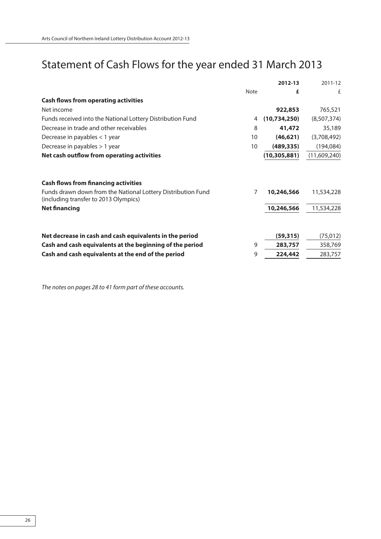# Statement of Cash Flows for the year ended 31 March 2013

|                | 2012-13        | 2011-12      |
|----------------|----------------|--------------|
| <b>Note</b>    | £              | £            |
|                |                |              |
|                | 922,853        | 765,521      |
| 4              | (10,734,250)   | (8,507,374)  |
| 8              | 41,472         | 35,189       |
| 10             | (46, 621)      | (3,708,492)  |
| 10             | (489, 335)     | (194, 084)   |
|                | (10, 305, 881) | (11,609,240) |
|                |                |              |
| $\overline{7}$ | 10,246,566     | 11,534,228   |
|                | 10,246,566     | 11,534,228   |
|                | (59, 315)      | (75, 012)    |
| 9              | 283,757        | 358,769      |
| 9              | 224,442        | 283,757      |
|                |                |              |

The notes on pages 28 to 41 form part of these accounts.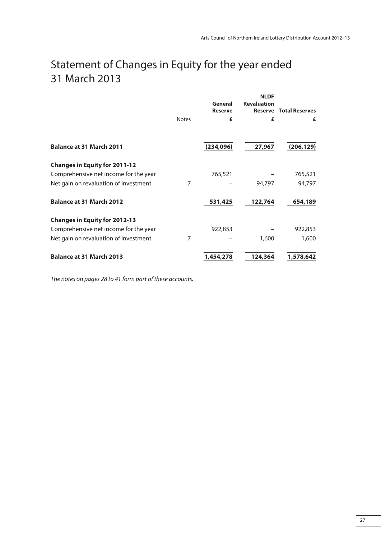# Statement of Changes in Equity for the year ended 31 March 2013

|                                       |              | General<br><b>Reserve</b> | <b>NLDF</b><br><b>Revaluation</b><br><b>Reserve</b> | <b>Total Reserves</b> |
|---------------------------------------|--------------|---------------------------|-----------------------------------------------------|-----------------------|
|                                       | <b>Notes</b> | £                         | £                                                   | £                     |
| <b>Balance at 31 March 2011</b>       |              | (234, 096)                | 27,967                                              | (206, 129)            |
| <b>Changes in Equity for 2011-12</b>  |              |                           |                                                     |                       |
| Comprehensive net income for the year |              | 765,521                   |                                                     | 765,521               |
| Net gain on revaluation of investment | 7            |                           | 94,797                                              | 94,797                |
| <b>Balance at 31 March 2012</b>       |              | 531,425                   | 122,764                                             | 654,189               |
| <b>Changes in Equity for 2012-13</b>  |              |                           |                                                     |                       |
| Comprehensive net income for the year |              | 922,853                   |                                                     | 922,853               |
| Net gain on revaluation of investment | 7            |                           | 1,600                                               | 1,600                 |
| <b>Balance at 31 March 2013</b>       |              | 1,454,278                 | 124,364                                             | 1,578,642             |

The notes on pages 28 to 41 form part of these accounts.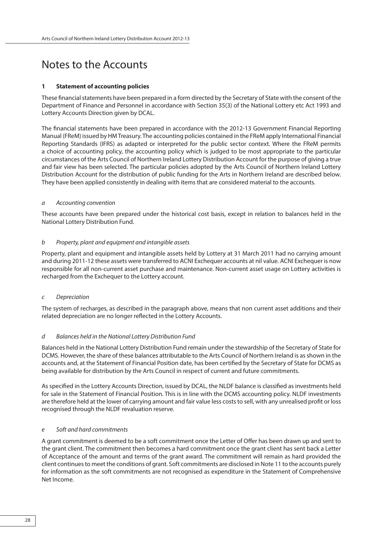# Notes to the Accounts

#### **1 Statement of accounting policies**

These financial statements have been prepared in a form directed by the Secretary of State with the consent of the Department of Finance and Personnel in accordance with Section 35(3) of the National Lottery etc Act 1993 and Lottery Accounts Direction given by DCAL.

The financial statements have been prepared in accordance with the 2012-13 Government Financial Reporting Manual (FReM) issued by HM Treasury. The accounting policies contained in the FReM apply International Financial Reporting Standards (IFRS) as adapted or interpreted for the public sector context. Where the FReM permits a choice of accounting policy, the accounting policy which is judged to be most appropriate to the particular circumstances of the Arts Council of Northern Ireland Lottery Distribution Account for the purpose of giving a true and fair view has been selected. The particular policies adopted by the Arts Council of Northern Ireland Lottery Distribution Account for the distribution of public funding for the Arts in Northern Ireland are described below. They have been applied consistently in dealing with items that are considered material to the accounts.

#### a Accounting convention

These accounts have been prepared under the historical cost basis, except in relation to balances held in the National Lottery Distribution Fund.

#### b Property, plant and equipment and intangible assets

Property, plant and equipment and intangible assets held by Lottery at 31 March 2011 had no carrying amount and during 2011-12 these assets were transferred to ACNI Exchequer accounts at nil value. ACNI Exchequer is now responsible for all non-current asset purchase and maintenance. Non-current asset usage on Lottery activities is recharged from the Exchequer to the Lottery account.

#### c Depreciation

The system of recharges, as described in the paragraph above, means that non current asset additions and their related depreciation are no longer reflected in the Lottery Accounts.

#### d Balances held in the National Lottery Distribution Fund

Balances held in the National Lottery Distribution Fund remain under the stewardship of the Secretary of State for DCMS. However, the share of these balances attributable to the Arts Council of Northern Ireland is as shown in the accounts and, at the Statement of Financial Position date, has been certified by the Secretary of State for DCMS as being available for distribution by the Arts Council in respect of current and future commitments.

As specified in the Lottery Accounts Direction, issued by DCAL, the NLDF balance is classified as investments held for sale in the Statement of Financial Position. This is in line with the DCMS accounting policy. NLDF investments are therefore held at the lower of carrying amount and fair value less costs to sell, with any unrealised profit or loss recognised through the NLDF revaluation reserve.

#### e Soft and hard commitments

A grant commitment is deemed to be a soft commitment once the Letter of Offer has been drawn up and sent to the grant client. The commitment then becomes a hard commitment once the grant client has sent back a Letter of Acceptance of the amount and terms of the grant award. The commitment will remain as hard provided the client continues to meet the conditions of grant. Soft commitments are disclosed in Note 11 to the accounts purely for information as the soft commitments are not recognised as expenditure in the Statement of Comprehensive Net Income.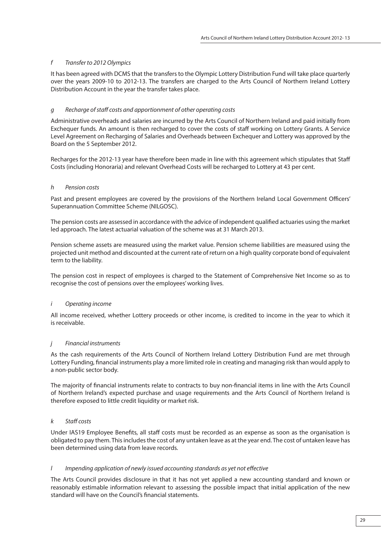# f Transfer to 2012 Olympics

It has been agreed with DCMS that the transfers to the Olympic Lottery Distribution Fund will take place quarterly over the years 2009-10 to 2012-13. The transfers are charged to the Arts Council of Northern Ireland Lottery Distribution Account in the year the transfer takes place.

# g Recharge of staff costs and apportionment of other operating costs

Administrative overheads and salaries are incurred by the Arts Council of Northern Ireland and paid initially from Exchequer funds. An amount is then recharged to cover the costs of staff working on Lottery Grants. A Service Level Agreement on Recharging of Salaries and Overheads between Exchequer and Lottery was approved by the Board on the 5 September 2012.

Recharges for the 2012-13 year have therefore been made in line with this agreement which stipulates that Staff Costs (including Honoraria) and relevant Overhead Costs will be recharged to Lottery at 43 per cent.

# h Pension costs

Past and present employees are covered by the provisions of the Northern Ireland Local Government Officers' Superannuation Committee Scheme (NILGOSC).

The pension costs are assessed in accordance with the advice of independent qualified actuaries using the market led approach. The latest actuarial valuation of the scheme was at 31 March 2013.

Pension scheme assets are measured using the market value. Pension scheme liabilities are measured using the projected unit method and discounted at the current rate of return on a high quality corporate bond of equivalent term to the liability.

The pension cost in respect of employees is charged to the Statement of Comprehensive Net Income so as to recognise the cost of pensions over the employees' working lives.

# i Operating income

All income received, whether Lottery proceeds or other income, is credited to income in the year to which it is receivable.

# j Financial instruments

As the cash requirements of the Arts Council of Northern Ireland Lottery Distribution Fund are met through Lottery Funding, financial instruments play a more limited role in creating and managing risk than would apply to a non-public sector body.

The majority of financial instruments relate to contracts to buy non-financial items in line with the Arts Council of Northern Ireland's expected purchase and usage requirements and the Arts Council of Northern Ireland is therefore exposed to little credit liquidity or market risk.

# k Staff costs

Under IAS19 Employee Benefits, all staff costs must be recorded as an expense as soon as the organisation is obligated to pay them. This includes the cost of any untaken leave as at the year end. The cost of untaken leave has been determined using data from leave records.

# I Impending application of newly issued accounting standards as yet not effective

The Arts Council provides disclosure in that it has not yet applied a new accounting standard and known or reasonably estimable information relevant to assessing the possible impact that initial application of the new standard will have on the Council's financial statements.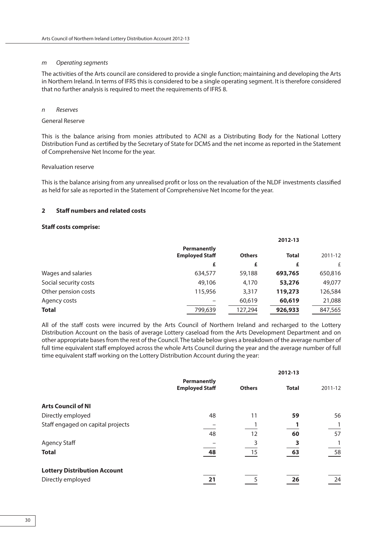#### m Operating segments

The activities of the Arts council are considered to provide a single function; maintaining and developing the Arts in Northern Ireland. In terms of IFRS this is considered to be a single operating segment. It is therefore considered that no further analysis is required to meet the requirements of IFRS 8.

#### n Reserves

#### General Reserve

This is the balance arising from monies attributed to ACNI as a Distributing Body for the National Lottery Distribution Fund as certified by the Secretary of State for DCMS and the net income as reported in the Statement of Comprehensive Net Income for the year.

#### Revaluation reserve

This is the balance arising from any unrealised profit or loss on the revaluation of the NLDF investments classified as held for sale as reported in the Statement of Comprehensive Net Income for the year.

#### **2 Staff numbers and related costs**

#### **Staff costs comprise:**

|                       | <b>Permanently</b><br><b>Employed Staff</b> | <b>Others</b> | <b>Total</b> | 2011-12 |
|-----------------------|---------------------------------------------|---------------|--------------|---------|
|                       | £                                           | £             | £            | £       |
| Wages and salaries    | 634,577                                     | 59,188        | 693,765      | 650,816 |
| Social security costs | 49,106                                      | 4,170         | 53,276       | 49,077  |
| Other pension costs   | 115,956                                     | 3,317         | 119,273      | 126,584 |
| Agency costs          |                                             | 60,619        | 60,619       | 21,088  |
| <b>Total</b>          | 799.639                                     | 127,294       | 926,933      | 847,565 |

All of the staff costs were incurred by the Arts Council of Northern Ireland and recharged to the Lottery Distribution Account on the basis of average Lottery caseload from the Arts Development Department and on other appropriate bases from the rest of the Council. The table below gives a breakdown of the average number of full time equivalent staff employed across the whole Arts Council during the year and the average number of full time equivalent staff working on the Lottery Distribution Account during the year:

|                                     |                                             | 2012-13       |              |         |
|-------------------------------------|---------------------------------------------|---------------|--------------|---------|
|                                     | <b>Permanently</b><br><b>Employed Staff</b> | <b>Others</b> | <b>Total</b> | 2011-12 |
| <b>Arts Council of NI</b>           |                                             |               |              |         |
| Directly employed                   | 48                                          | 11            | 59           | 56      |
| Staff engaged on capital projects   |                                             |               |              |         |
|                                     | 48                                          | 12            | 60           | 57      |
| Agency Staff                        |                                             |               |              |         |
| <b>Total</b>                        | 48                                          | 15            | 63           | 58      |
| <b>Lottery Distribution Account</b> |                                             |               |              |         |
| Directly employed                   | 21                                          |               | 26           | 24      |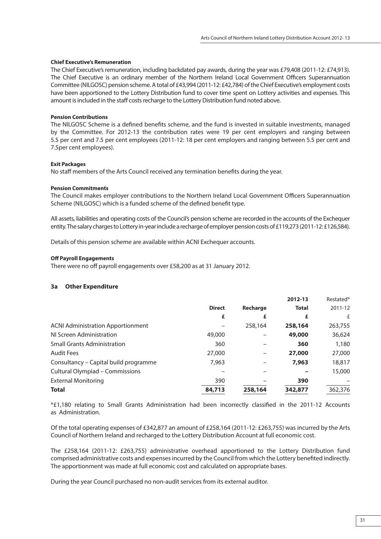### **Chief Executive's Remuneration**

The Chief Executive's remuneration, including backdated pay awards, during the year was £79,408 (2011-12: £74,913). The Chief Executive is an ordinary member of the Northern Ireland Local Government Officers Superannuation Committee (NILGOSC) pension scheme. A total of £43,994 (2011-12: £42,784) of the Chief Executive's employment costs have been apportioned to the Lottery Distribution fund to cover time spent on Lottery activities and expenses. This amount is included in the staff costs recharge to the Lottery Distribution fund noted above.

### **Pension Contributions**

The NILGOSC Scheme is a defined benefits scheme, and the fund is invested in suitable investments, managed by the Committee. For 2012-13 the contribution rates were 19 per cent employers and ranging between 5.5 per cent and 7.5 per cent employees (2011-12: 18 per cent employers and ranging between 5.5 per cent and 7.5per cent employees).

### **Exit Packages**

No staff members of the Arts Council received any termination benefits during the year.

### **Pension Commitments**

The Council makes employer contributions to the Northern Ireland Local Government Officers Superannuation Scheme (NILGOSC) which is a funded scheme of the defined benefit type.

All assets, liabilities and operating costs of the Council's pension scheme are recorded in the accounts of the Exchequer entity. The salary charges to Lottery in-year include a recharge of employer pension costs of £119,273 (2011-12: £126,584).

Details of this pension scheme are available within ACNI Exchequer accounts.

### **Off Payroll Engagements**

There were no off payroll engagements over £58,200 as at 31 January 2012.

# **3a Other Expenditure**

|                                          |               |          | 2012-13      | Restated* |
|------------------------------------------|---------------|----------|--------------|-----------|
|                                          | <b>Direct</b> | Recharge | <b>Total</b> | 2011-12   |
|                                          | £             | £        | £            | £         |
| <b>ACNI Administration Apportionment</b> |               | 258,164  | 258,164      | 263,755   |
| NI Screen Administration                 | 49,000        |          | 49,000       | 36,624    |
| <b>Small Grants Administration</b>       | 360           |          | 360          | 1,180     |
| <b>Audit Fees</b>                        | 27,000        |          | 27,000       | 27,000    |
| Consultancy – Capital build programme    | 7.963         |          | 7,963        | 18,817    |
| <b>Cultural Olympiad - Commissions</b>   |               |          |              | 15,000    |
| <b>External Monitoring</b>               | 390           |          | 390          |           |
| <b>Total</b>                             | 84,713        | 258,164  | 342,877      | 362,376   |

\*£1,180 relating to Small Grants Administration had been incorrectly classified in the 2011-12 Accounts as Administration.

Of the total operating expenses of £342,877 an amount of £258,164 (2011-12: £263,755) was incurred by the Arts Council of Northern Ireland and recharged to the Lottery Distribution Account at full economic cost.

The £258,164 (2011-12: £263,755) administrative overhead apportioned to the Lottery Distribution fund comprised administrative costs and expenses incurred by the Council from which the Lottery benefited indirectly. The apportionment was made at full economic cost and calculated on appropriate bases.

During the year Council purchased no non-audit services from its external auditor.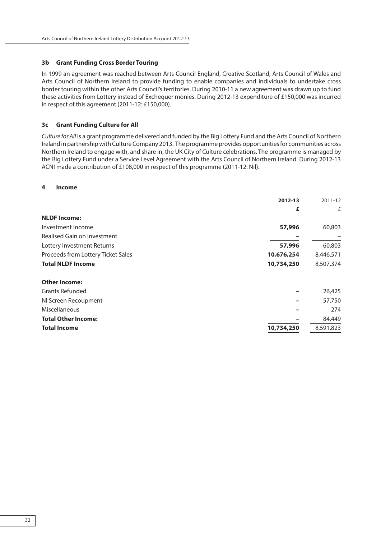#### **3b Grant Funding Cross Border Touring**

In 1999 an agreement was reached between Arts Council England, Creative Scotland, Arts Council of Wales and Arts Council of Northern Ireland to provide funding to enable companies and individuals to undertake cross border touring within the other Arts Council's territories. During 2010-11 a new agreement was drawn up to fund these activities from Lottery instead of Exchequer monies. During 2012-13 expenditure of £150,000 was incurred in respect of this agreement (2011-12: £150,000).

#### **3c Grant Funding Culture for All**

Culture for All is a grant programme delivered and funded by the Big Lottery Fund and the Arts Council of Northern Ireland in partnership with Culture Company 2013. The programme provides opportunities for communities across Northern Ireland to engage with, and share in, the UK City of Culture celebrations. The programme is managed by the Big Lottery Fund under a Service Level Agreement with the Arts Council of Northern Ireland. During 2012-13 ACNI made a contribution of £108,000 in respect of this programme (2011-12: Nil).

#### **4 Income**

|                                    | 2012-13    | 2011-12   |
|------------------------------------|------------|-----------|
|                                    | £          | £         |
| <b>NLDF</b> Income:                |            |           |
| Investment Income                  | 57,996     | 60,803    |
| <b>Realised Gain on Investment</b> |            |           |
| Lottery Investment Returns         | 57,996     | 60,803    |
| Proceeds from Lottery Ticket Sales | 10,676,254 | 8,446,571 |
| <b>Total NLDF Income</b>           | 10,734,250 | 8,507,374 |
| <b>Other Income:</b>               |            |           |
| <b>Grants Refunded</b>             |            | 26,425    |
| NI Screen Recoupment               |            | 57,750    |
| Miscellaneous                      |            | 274       |
| <b>Total Other Income:</b>         |            | 84,449    |
| <b>Total Income</b>                | 10,734,250 | 8,591,823 |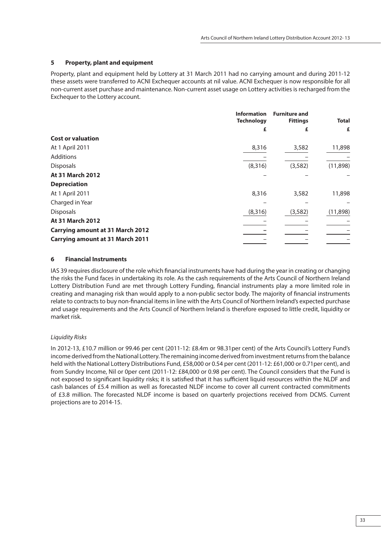# **5 Property, plant and equipment**

Property, plant and equipment held by Lottery at 31 March 2011 had no carrying amount and during 2011-12 these assets were transferred to ACNI Exchequer accounts at nil value. ACNI Exchequer is now responsible for all non-current asset purchase and maintenance. Non-current asset usage on Lottery activities is recharged from the Exchequer to the Lottery account.

|                                         | <b>Information</b><br><b>Technology</b> | <b>Furniture and</b><br><b>Fittings</b> | <b>Total</b> |
|-----------------------------------------|-----------------------------------------|-----------------------------------------|--------------|
|                                         | £                                       | £                                       | £            |
| <b>Cost or valuation</b>                |                                         |                                         |              |
| At 1 April 2011                         | 8,316                                   | 3,582                                   | 11,898       |
| Additions                               |                                         |                                         |              |
| <b>Disposals</b>                        | (8,316)                                 | (3, 582)                                | (11,898)     |
| At 31 March 2012                        |                                         |                                         |              |
| <b>Depreciation</b>                     |                                         |                                         |              |
| At 1 April 2011                         | 8,316                                   | 3,582                                   | 11,898       |
| Charged in Year                         |                                         |                                         |              |
| <b>Disposals</b>                        | (8, 316)                                | (3, 582)                                | (11,898)     |
| At 31 March 2012                        |                                         |                                         |              |
| <b>Carrying amount at 31 March 2012</b> |                                         |                                         |              |
| <b>Carrying amount at 31 March 2011</b> |                                         |                                         |              |

# **6 Financial Instruments**

IAS 39 requires disclosure of the role which financial instruments have had during the year in creating or changing the risks the Fund faces in undertaking its role. As the cash requirements of the Arts Council of Northern Ireland Lottery Distribution Fund are met through Lottery Funding, financial instruments play a more limited role in creating and managing risk than would apply to a non-public sector body. The majority of financial instruments relate to contracts to buy non-financial items in line with the Arts Council of Northern Ireland's expected purchase and usage requirements and the Arts Council of Northern Ireland is therefore exposed to little credit, liquidity or market risk.

# Liquidity Risks

In 2012-13, £10.7 million or 99.46 per cent (2011-12: £8.4m or 98.31per cent) of the Arts Council's Lottery Fund's income derived from the National Lottery. The remaining income derived from investment returns from the balance held with the National Lottery Distributions Fund, £58,000 or 0.54 per cent (2011-12: £61,000 or 0.71per cent), and from Sundry Income, Nil or 0per cent (2011-12: £84,000 or 0.98 per cent). The Council considers that the Fund is not exposed to significant liquidity risks; it is satisfied that it has sufficient liquid resources within the NLDF and cash balances of £5.4 million as well as forecasted NLDF income to cover all current contracted commitments of £3.8 million. The forecasted NLDF income is based on quarterly projections received from DCMS. Current projections are to 2014-15.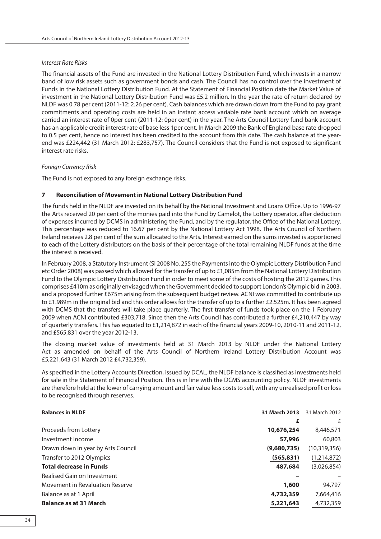#### Interest Rate Risks

The financial assets of the Fund are invested in the National Lottery Distribution Fund, which invests in a narrow band of low risk assets such as government bonds and cash. The Council has no control over the investment of Funds in the National Lottery Distribution Fund. At the Statement of Financial Position date the Market Value of investment in the National Lottery Distribution Fund was £5.2 million. In the year the rate of return declared by NLDF was 0.78 per cent (2011-12: 2.26 per cent). Cash balances which are drawn down from the Fund to pay grant commitments and operating costs are held in an instant access variable rate bank account which on average carried an interest rate of 0per cent (2011-12: 0per cent) in the year. The Arts Council Lottery fund bank account has an applicable credit interest rate of base less 1per cent. In March 2009 the Bank of England base rate dropped to 0.5 per cent, hence no interest has been credited to the account from this date. The cash balance at the yearend was £224,442 (31 March 2012: £283,757). The Council considers that the Fund is not exposed to significant interest rate risks.

#### Foreign Currency Risk

The Fund is not exposed to any foreign exchange risks.

#### **7 Reconciliation of Movement in National Lottery Distribution Fund**

The funds held in the NLDF are invested on its behalf by the National Investment and Loans Office. Up to 1996-97 the Arts received 20 per cent of the monies paid into the Fund by Camelot, the Lottery operator, after deduction of expenses incurred by DCMS in administering the Fund, and by the regulator, the Office of the National Lottery. This percentage was reduced to 16.67 per cent by the National Lottery Act 1998. The Arts Council of Northern Ireland receives 2.8 per cent of the sum allocated to the Arts. Interest earned on the sums invested is apportioned to each of the Lottery distributors on the basis of their percentage of the total remaining NLDF funds at the time the interest is received.

In February 2008, a Statutory Instrument (SI 2008 No. 255 the Payments into the Olympic Lottery Distribution Fund etc Order 2008) was passed which allowed for the transfer of up to £1,085m from the National Lottery Distribution Fund to the Olympic Lottery Distribution Fund in order to meet some of the costs of hosting the 2012 games. This comprises £410m as originally envisaged when the Government decided to support London's Olympic bid in 2003, and a proposed further £675m arising from the subsequent budget review. ACNI was committed to contribute up to £1.989m in the original bid and this order allows for the transfer of up to a further £2.525m. It has been agreed with DCMS that the transfers will take place quarterly. The first transfer of funds took place on the 1 February 2009 when ACNI contributed £303,718. Since then the Arts Council has contributed a further £4,210,447 by way of quarterly transfers. This has equated to £1,214,872 in each of the financial years 2009-10, 2010-11 and 2011-12, and £565,831 over the year 2012-13.

The closing market value of investments held at 31 March 2013 by NLDF under the National Lottery Act as amended on behalf of the Arts Council of Northern Ireland Lottery Distribution Account was £5,221,643 (31 March 2012 £4,732,359).

As specified in the Lottery Accounts Direction, issued by DCAL, the NLDF balance is classified as investments held for sale in the Statement of Financial Position. This is in line with the DCMS accounting policy. NLDF investments are therefore held at the lower of carrying amount and fair value less costs to sell, with any unrealised profit or loss to be recognised through reserves.

| <b>Balances in NLDF</b>                | 31 March 2013 |                |  |
|----------------------------------------|---------------|----------------|--|
|                                        | £             | £              |  |
| Proceeds from Lottery                  | 10,676,254    | 8,446,571      |  |
| Investment Income                      | 57,996        | 60,803         |  |
| Drawn down in year by Arts Council     | (9,680,735)   | (10, 319, 356) |  |
| Transfer to 2012 Olympics              | (565, 831)    | (1,214,872)    |  |
| <b>Total decrease in Funds</b>         | 487,684       | (3,026,854)    |  |
| Realised Gain on Investment            |               |                |  |
| <b>Movement in Revaluation Reserve</b> | 1,600         | 94,797         |  |
| Balance as at 1 April                  | 4,732,359     | 7,664,416      |  |
| <b>Balance as at 31 March</b>          | 5,221,643     | 4,732,359      |  |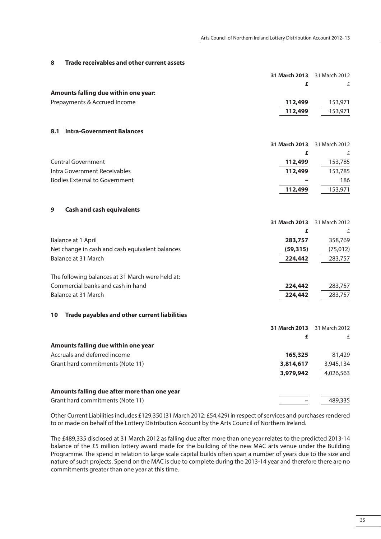#### **8 Trade receivables and other current assets**

|                                                    | 31 March 2013 | 31 March 2012 |
|----------------------------------------------------|---------------|---------------|
|                                                    | £             | £             |
| Amounts falling due within one year:               |               |               |
| Prepayments & Accrued Income                       | 112,499       | 153,971       |
|                                                    | 112,499       | 153,971       |
| <b>Intra-Government Balances</b><br>8.1            |               |               |
|                                                    | 31 March 2013 | 31 March 2012 |
|                                                    | £             | £             |
| <b>Central Government</b>                          | 112,499       | 153,785       |
| Intra Government Receivables                       | 112,499       | 153,785       |
| <b>Bodies External to Government</b>               |               | 186           |
|                                                    | 112,499       | 153,971       |
| <b>Cash and cash equivalents</b><br>9              |               |               |
|                                                    | 31 March 2013 | 31 March 2012 |
|                                                    | £             | £             |
| Balance at 1 April                                 | 283,757       | 358,769       |
| Net change in cash and cash equivalent balances    | (59, 315)     | (75, 012)     |
| Balance at 31 March                                | 224,442       | 283,757       |
|                                                    |               |               |
| The following balances at 31 March were held at:   |               |               |
| Commercial banks and cash in hand                  | 224,442       | 283,757       |
| Balance at 31 March                                | 224,442       | 283,757       |
| Trade payables and other current liabilities<br>10 |               |               |
|                                                    | 31 March 2013 | 31 March 2012 |
|                                                    | £             | £             |
| Amounts falling due within one year                |               |               |
| Accruals and deferred income                       | 165,325       | 81,429        |
| Grant hard commitments (Note 11)                   | 3,814,617     | 3,945,134     |
|                                                    | 3,979,942     | 4,026,563     |
| Amounts falling due after more than one year       |               |               |
|                                                    |               |               |

Grant hard commitments (Note 11) **–** 489,335

Other Current Liabilities includes £129,350 (31 March 2012: £54,429) in respect of services and purchases rendered to or made on behalf of the Lottery Distribution Account by the Arts Council of Northern Ireland.

The £489,335 disclosed at 31 March 2012 as falling due after more than one year relates to the predicted 2013-14 balance of the £5 million lottery award made for the building of the new MAC arts venue under the Building Programme. The spend in relation to large scale capital builds often span a number of years due to the size and nature of such projects. Spend on the MAC is due to complete during the 2013-14 year and therefore there are no commitments greater than one year at this time.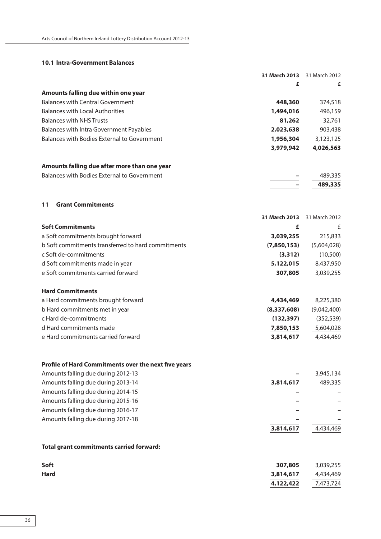#### **10.1 Intra-Government Balances**

|                                                                                            | 31 March 2013 | 31 March 2012 |
|--------------------------------------------------------------------------------------------|---------------|---------------|
|                                                                                            | £             | £             |
| Amounts falling due within one year                                                        |               |               |
| <b>Balances with Central Government</b>                                                    | 448,360       | 374,518       |
| <b>Balances with Local Authorities</b>                                                     | 1,494,016     | 496,159       |
| <b>Balances with NHS Trusts</b>                                                            | 81,262        | 32,761        |
| Balances with Intra Government Payables                                                    | 2,023,638     | 903,438       |
| Balances with Bodies External to Government                                                | 1,956,304     | 3,123,125     |
|                                                                                            | 3,979,942     | 4,026,563     |
| Amounts falling due after more than one year                                               |               |               |
| Balances with Bodies External to Government                                                |               | 489,335       |
|                                                                                            |               | 489,335       |
| <b>Grant Commitments</b><br>11                                                             |               |               |
|                                                                                            | 31 March 2013 | 31 March 2012 |
| <b>Soft Commitments</b>                                                                    | £             | £             |
| a Soft commitments brought forward                                                         | 3,039,255     | 215,833       |
| b Soft commitments transferred to hard commitments                                         | (7,850,153)   | (5,604,028)   |
| c Soft de-commitments                                                                      | (3, 312)      | (10, 500)     |
| d Soft commitments made in year                                                            | 5,122,015     | 8,437,950     |
| e Soft commitments carried forward                                                         | 307,805       | 3,039,255     |
| <b>Hard Commitments</b>                                                                    |               |               |
| a Hard commitments brought forward                                                         | 4,434,469     | 8,225,380     |
| b Hard commitments met in year                                                             | (8, 337, 608) | (9,042,400)   |
| c Hard de-commitments                                                                      | (132, 397)    | (352, 539)    |
| d Hard commitments made                                                                    | 7,850,153     | 5,604,028     |
| e Hard commitments carried forward                                                         | 3,814,617     | 4,434,469     |
|                                                                                            |               |               |
| Profile of Hard Commitments over the next five years<br>Amounts falling due during 2012-13 |               | 3,945,134     |
| Amounts falling due during 2013-14                                                         | 3,814,617     | 489,335       |
| Amounts falling due during 2014-15                                                         |               |               |
| Amounts falling due during 2015-16                                                         |               |               |
| Amounts falling due during 2016-17                                                         |               |               |
| Amounts falling due during 2017-18                                                         |               |               |
|                                                                                            | 3,814,617     | 4,434,469     |
| <b>Total grant commitments carried forward:</b>                                            |               |               |
|                                                                                            |               |               |
| Soft                                                                                       | 307,805       | 3,039,255     |
| <b>Hard</b>                                                                                | 3,814,617     | 4,434,469     |
|                                                                                            | 4,122,422     | 7,473,724     |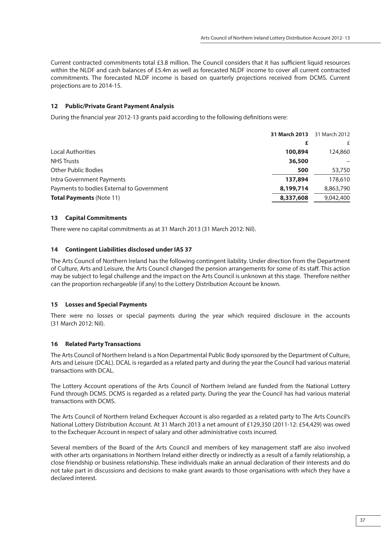Current contracted commitments total £3.8 million. The Council considers that it has sufficient liquid resources within the NLDF and cash balances of £5.4m as well as forecasted NLDF income to cover all current contracted commitments. The forecasted NLDF income is based on quarterly projections received from DCMS. Current projections are to 2014-15.

### **12 Public/Private Grant Payment Analysis**

During the financial year 2012-13 grants paid according to the following definitions were:

|                                           | 31 March 2013 31 March 2012 |           |
|-------------------------------------------|-----------------------------|-----------|
|                                           |                             |           |
| Local Authorities                         | 100,894                     | 124,860   |
| <b>NHS Trusts</b>                         | 36,500                      |           |
| <b>Other Public Bodies</b>                | 500                         | 53,750    |
| Intra Government Payments                 | 137,894                     | 178,610   |
| Payments to bodies External to Government | 8,199,714                   | 8,863,790 |
| <b>Total Payments (Note 11)</b>           | 8,337,608                   | 9,042,400 |
|                                           |                             |           |

# **13 Capital Commitments**

There were no capital commitments as at 31 March 2013 (31 March 2012: Nil).

### **14 Contingent Liabilities disclosed under IAS 37**

The Arts Council of Northern Ireland has the following contingent liability. Under direction from the Department of Culture, Arts and Leisure, the Arts Council changed the pension arrangements for some of its staff . This action may be subject to legal challenge and the impact on the Arts Council is unknown at this stage. Therefore neither can the proportion rechargeable (if any) to the Lottery Distribution Account be known.

# **15 Losses and Special Payments**

There were no losses or special payments during the year which required disclosure in the accounts (31 March 2012: Nil).

# **16 Related Party Transactions**

The Arts Council of Northern Ireland is a Non Departmental Public Body sponsored by the Department of Culture, Arts and Leisure (DCAL). DCAL is regarded as a related party and during the year the Council had various material transactions with DCAL.

The Lottery Account operations of the Arts Council of Northern Ireland are funded from the National Lottery Fund through DCMS. DCMS is regarded as a related party. During the year the Council has had various material transactions with DCMS.

The Arts Council of Northern Ireland Exchequer Account is also regarded as a related party to The Arts Council's National Lottery Distribution Account. At 31 March 2013 a net amount of £129,350 (2011-12: £54,429) was owed to the Exchequer Account in respect of salary and other administrative costs incurred.

Several members of the Board of the Arts Council and members of key management staff are also involved with other arts organisations in Northern Ireland either directly or indirectly as a result of a family relationship, a close friendship or business relationship. These individuals make an annual declaration of their interests and do not take part in discussions and decisions to make grant awards to those organisations with which they have a declared interest.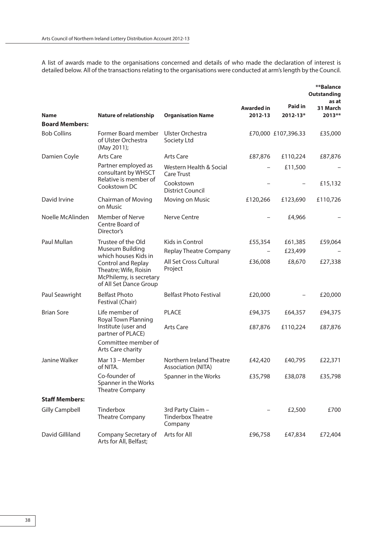A list of awards made to the organisations concerned and details of who made the declaration of interest is detailed below. All of the transactions relating to the organisations were conducted at arm's length by the Council.

|                       |                                                                                                  |                                                          |                              |                          | **Balance<br><b>Outstanding</b><br>as at |
|-----------------------|--------------------------------------------------------------------------------------------------|----------------------------------------------------------|------------------------------|--------------------------|------------------------------------------|
| <b>Name</b>           | <b>Nature of relationship</b>                                                                    | <b>Organisation Name</b>                                 | <b>Awarded in</b><br>2012-13 | Paid in<br>$2012 - 13*$  | 31 March<br>2013**                       |
| <b>Board Members:</b> |                                                                                                  |                                                          |                              |                          |                                          |
| <b>Bob Collins</b>    | Former Board member<br>of Ulster Orchestra<br>(May 2011);                                        | Ulster Orchestra<br>Society Ltd                          |                              | £70,000 £107,396.33      | £35,000                                  |
| Damien Coyle          | <b>Arts Care</b>                                                                                 | Arts Care                                                | £87,876                      | £110,224                 | £87,876                                  |
|                       | Partner employed as<br>consultant by WHSCT<br>Relative is member of                              | Western Health & Social<br>Care Trust                    |                              | £11,500                  |                                          |
|                       | Cookstown DC                                                                                     | Cookstown<br><b>District Council</b>                     |                              |                          | £15,132                                  |
| David Irvine          | Chairman of Moving<br>on Music                                                                   | Moving on Music                                          | £120,266                     | £123,690                 | £110,726                                 |
| Noelle McAlinden      | <b>Member of Nerve</b><br>Centre Board of<br>Director's                                          | <b>Nerve Centre</b>                                      |                              | £4,966                   |                                          |
| Paul Mullan           | Trustee of the Old                                                                               | Kids in Control                                          | £55,354                      | £61,385                  | £59,064                                  |
|                       | Museum Building<br>which houses Kids in                                                          | <b>Replay Theatre Company</b>                            |                              | £23,499                  |                                          |
|                       | Control and Replay<br>Theatre; Wife, Roisin<br>McPhilemy, is secretary<br>of All Set Dance Group | All Set Cross Cultural<br>Project                        | £36,008                      | £8,670                   | £27,338                                  |
| Paul Seawright        | <b>Belfast Photo</b><br>Festival (Chair)                                                         | <b>Belfast Photo Festival</b>                            | £20,000                      | $\overline{\phantom{0}}$ | £20,000                                  |
| <b>Brian Sore</b>     | Life member of<br>Royal Town Planning                                                            | <b>PLACE</b>                                             | £94,375                      | £64,357                  | £94,375                                  |
|                       | Institute (user and<br>partner of PLACE)                                                         | <b>Arts Care</b>                                         | £87,876                      | £110,224                 | £87,876                                  |
|                       | Committee member of<br>Arts Care charity                                                         |                                                          |                              |                          |                                          |
| Janine Walker         | Mar 13 – Member<br>of NITA.                                                                      | Northern Ireland Theatre<br>Association (NITA)           | £42,420                      | £40,795                  | £22,371                                  |
|                       | Co-founder of<br>Spanner in the Works<br><b>Theatre Company</b>                                  | Spanner in the Works                                     | £35,798                      | £38,078                  | £35,798                                  |
| <b>Staff Members:</b> |                                                                                                  |                                                          |                              |                          |                                          |
| <b>Gilly Campbell</b> | Tinderbox<br><b>Theatre Company</b>                                                              | 3rd Party Claim -<br><b>Tinderbox Theatre</b><br>Company |                              | £2,500                   | £700                                     |
| David Gilliland       | Company Secretary of<br>Arts for All, Belfast;                                                   | Arts for All                                             | £96,758                      | £47,834                  | £72,404                                  |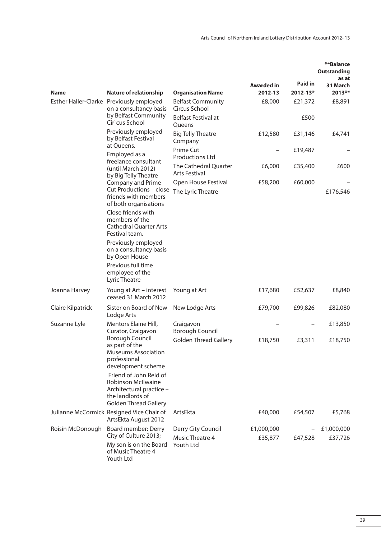|                   |                                                                                                                              |                                               |                              |                                | **Balance<br><b>Outstanding</b><br>as at |
|-------------------|------------------------------------------------------------------------------------------------------------------------------|-----------------------------------------------|------------------------------|--------------------------------|------------------------------------------|
| <b>Name</b>       | <b>Nature of relationship</b>                                                                                                | <b>Organisation Name</b>                      | <b>Awarded in</b><br>2012-13 | <b>Paid in</b><br>$2012 - 13*$ | 31 March<br>2013**                       |
|                   | Esther Haller-Clarke Previously employed<br>on a consultancy basis                                                           | <b>Belfast Community</b><br>Circus School     | £8,000                       | £21,372                        | £8,891                                   |
|                   | by Belfast Community<br>Cir`cus School                                                                                       | Belfast Festival at<br>Queens                 |                              | £500                           |                                          |
|                   | Previously employed<br>by Belfast Festival                                                                                   | <b>Big Telly Theatre</b><br>Company           | £12,580                      | £31,146                        | £4,741                                   |
|                   | at Oueens.<br>Employed as a                                                                                                  | <b>Prime Cut</b><br><b>Productions Ltd</b>    |                              | £19,487                        |                                          |
|                   | freelance consultant<br>(until March 2012)<br>by Big Telly Theatre                                                           | The Cathedral Quarter<br><b>Arts Festival</b> | £6,000                       | £35,400                        | £600                                     |
|                   | Company and Prime                                                                                                            | Open House Festival                           | £58,200                      | £60,000                        |                                          |
|                   | Cut Productions - close<br>friends with members<br>of both organisations                                                     | The Lyric Theatre                             |                              |                                | £176,546                                 |
|                   | Close friends with<br>members of the<br><b>Cathedral Quarter Arts</b><br>Festival team.                                      |                                               |                              |                                |                                          |
|                   | Previously employed<br>on a consultancy basis<br>by Open House                                                               |                                               |                              |                                |                                          |
|                   | Previous full time<br>employee of the<br>Lyric Theatre                                                                       |                                               |                              |                                |                                          |
| Joanna Harvey     | Young at Art - interest<br>ceased 31 March 2012                                                                              | Young at Art                                  | £17,680                      | £52,637                        | £8,840                                   |
| Claire Kilpatrick | Sister on Board of New<br>Lodge Arts                                                                                         | New Lodge Arts                                | £79,700                      | £99,826                        | £82,080                                  |
| Suzanne Lyle      | Mentors Elaine Hill,<br>Curator, Craigavon                                                                                   | Craigavon<br><b>Borough Council</b>           |                              |                                | £13,850                                  |
|                   | <b>Borough Council</b><br>as part of the<br><b>Museums Association</b><br>professional<br>development scheme                 | <b>Golden Thread Gallery</b>                  | £18,750                      | £3,311                         | £18,750                                  |
|                   | Friend of John Reid of<br>Robinson McIlwaine<br>Architectural practice -<br>the landlords of<br><b>Golden Thread Gallery</b> |                                               |                              |                                |                                          |
|                   | Julianne McCormick Resigned Vice Chair of<br>ArtsEkta August 2012                                                            | ArtsEkta                                      | £40,000                      | £54,507                        | £5,768                                   |
| Roisín McDonough  | Board member: Derry<br>City of Culture 2013;                                                                                 | Derry City Council<br><b>Music Theatre 4</b>  | £1,000,000<br>£35,877        | £47,528                        | £1,000,000<br>£37,726                    |
|                   | My son is on the Board<br>of Music Theatre 4<br>Youth Ltd                                                                    | Youth Ltd                                     |                              |                                |                                          |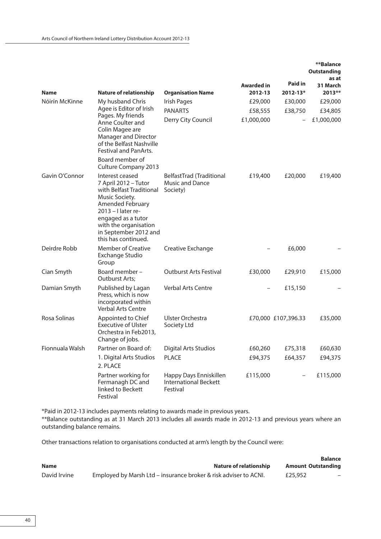|                 |                                                                                                                                                                                                                                |                                                                    |                       |                         | **Balance<br>Outstanding<br>as at |
|-----------------|--------------------------------------------------------------------------------------------------------------------------------------------------------------------------------------------------------------------------------|--------------------------------------------------------------------|-----------------------|-------------------------|-----------------------------------|
| <b>Name</b>     | <b>Nature of relationship</b>                                                                                                                                                                                                  | <b>Organisation Name</b>                                           | Awarded in<br>2012-13 | Paid in<br>$2012 - 13*$ | 31 March<br>2013**                |
| Nóirín McKinne  | My husband Chris                                                                                                                                                                                                               | Irish Pages                                                        | £29,000               | £30,000                 | £29,000                           |
|                 | Agee is Editor of Irish                                                                                                                                                                                                        | <b>PANARTS</b>                                                     | £58,555               | £38,750                 | £34,805                           |
|                 | Pages. My friends<br>Anne Coulter and<br>Colin Magee are<br>Manager and Director<br>of the Belfast Nashville<br>Festival and PanArts.                                                                                          | Derry City Council                                                 | £1,000,000            |                         | £1,000,000                        |
|                 | Board member of<br>Culture Company 2013                                                                                                                                                                                        |                                                                    |                       |                         |                                   |
| Gavin O'Connor  | Interest ceased<br>7 April 2012 - Tutor<br>with Belfast Traditional<br>Music Society.<br>Amended February<br>2013 - I later re-<br>engaged as a tutor<br>with the organisation<br>in September 2012 and<br>this has continued. | BelfastTrad (Traditional<br>Music and Dance<br>Society)            | £19,400               | £20,000                 | £19,400                           |
| Deirdre Robb    | <b>Member of Creative</b><br>Exchange Studio<br>Group                                                                                                                                                                          | Creative Exchange                                                  |                       | £6,000                  |                                   |
| Cian Smyth      | Board member -<br>Outburst Arts;                                                                                                                                                                                               | <b>Outburst Arts Festival</b>                                      | £30,000               | £29,910                 | £15,000                           |
| Damian Smyth    | Published by Lagan<br>Press, which is now<br>incorporated within<br>Verbal Arts Centre                                                                                                                                         | <b>Verbal Arts Centre</b>                                          |                       | £15,150                 |                                   |
| Rosa Solinas    | Appointed to Chief<br><b>Executive of Ulster</b><br>Orchestra in Feb2013,<br>Change of jobs.                                                                                                                                   | Ulster Orchestra<br>Society Ltd                                    |                       | £70,000 £107,396.33     | £35,000                           |
| Fionnuala Walsh | Partner on Board of:                                                                                                                                                                                                           | <b>Digital Arts Studios</b>                                        | £60,260               | £75,318                 | £60,630                           |
|                 | 1. Digital Arts Studios<br>2. PLACE                                                                                                                                                                                            | <b>PLACE</b>                                                       | £94,375               | £64,357                 | £94,375                           |
|                 | Partner working for<br>Fermanagh DC and<br>linked to Beckett<br>Festival                                                                                                                                                       | Happy Days Enniskillen<br><b>International Beckett</b><br>Festival | £115,000              |                         | £115,000                          |

\*Paid in 2012-13 includes payments relating to awards made in previous years.

\*\*Balance outstanding as at 31 March 2013 includes all awards made in 2012-13 and previous years where an outstanding balance remains.

Other transactions relation to organisations conducted at arm's length by the Council were:

|              |                                                                  | <b>Balance</b>            |
|--------------|------------------------------------------------------------------|---------------------------|
| <b>Name</b>  | Nature of relationship                                           | <b>Amount Outstanding</b> |
| David Irvine | Employed by Marsh Ltd – insurance broker & risk adviser to ACNI. | £25,952                   |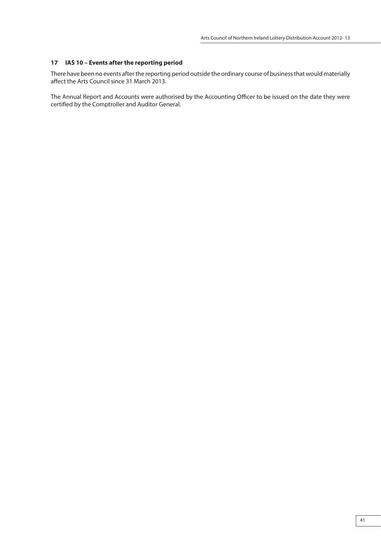### **17 IAS 10 – Events after the reporting period**

There have been no events after the reporting period outside the ordinary course of business that would materially affect the Arts Council since 31 March 2013.

The Annual Report and Accounts were authorised by the Accounting Officer to be issued on the date they were certified by the Comptroller and Auditor General.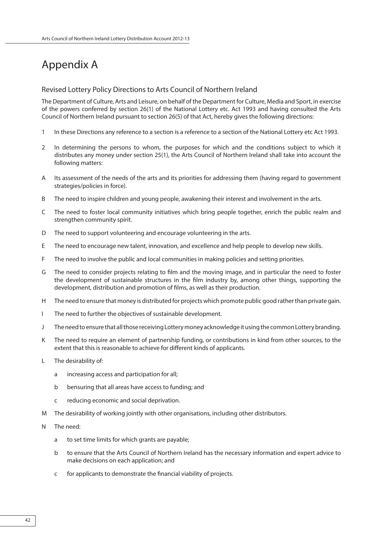# Appendix A

# Revised Lottery Policy Directions to Arts Council of Northern Ireland

The Department of Culture, Arts and Leisure, on behalf of the Department for Culture, Media and Sport, in exercise of the powers conferred by section 26(1) of the National Lottery etc. Act 1993 and having consulted the Arts Council of Northern Ireland pursuant to section 26(5) of that Act, hereby gives the following directions:

- 1 In these Directions any reference to a section is a reference to a section of the National Lottery etc Act 1993.
- 2 In determining the persons to whom, the purposes for which and the conditions subject to which it distributes any money under section 25(1), the Arts Council of Northern Ireland shall take into account the following matters:
- A Its assessment of the needs of the arts and its priorities for addressing them (having regard to government strategies/policies in force).
- B The need to inspire children and young people, awakening their interest and involvement in the arts.
- C The need to foster local community initiatives which bring people together, enrich the public realm and strengthen community spirit.
- D The need to support volunteering and encourage volunteering in the arts.
- E The need to encourage new talent, innovation, and excellence and help people to develop new skills.
- F The need to involve the public and local communities in making policies and setting priorities.
- G The need to consider projects relating to film and the moving image, and in particular the need to foster the development of sustainable structures in the film industry by, among other things, supporting the development, distribution and promotion of films, as well as their production.
- H The need to ensure that money is distributed for projects which promote public good rather than private gain.
- I The need to further the objectives of sustainable development.
- J The need to ensure that all those receiving Lottery money acknowledge it using the common Lottery branding.
- K The need to require an element of partnership funding, or contributions in kind from other sources, to the extent that this is reasonable to achieve for different kinds of applicants.
- L The desirability of:
	- a increasing access and participation for all;
	- b bensuring that all areas have access to funding; and
	- c reducing economic and social deprivation.
- M The desirability of working jointly with other organisations, including other distributors.
- N The need:
	- a to set time limits for which grants are payable;
	- b to ensure that the Arts Council of Northern Ireland has the necessary information and expert advice to make decisions on each application; and
	- c for applicants to demonstrate the financial viability of projects.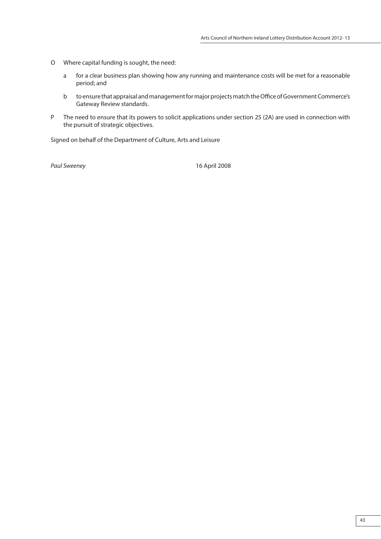- O Where capital funding is sought, the need:
	- a for a clear business plan showing how any running and maintenance costs will be met for a reasonable period; and
	- b to ensure that appraisal and management for major projects match the Office of Government Commerce's Gateway Review standards.
- P The need to ensure that its powers to solicit applications under section 25 (2A) are used in connection with the pursuit of strategic objectives.

Signed on behalf of the Department of Culture, Arts and Leisure

Paul Sweeney 2008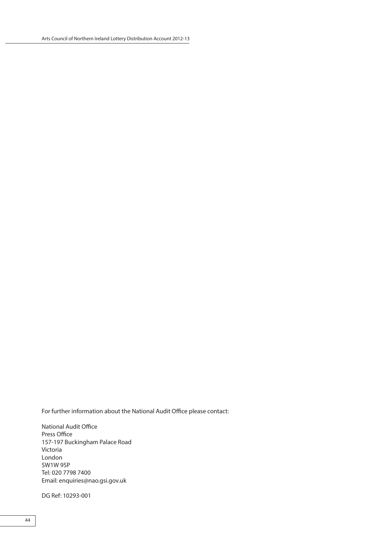For further information about the National Audit Office please contact:

National Audit Office Press Office 157-197 Buckingham Palace Road Victoria London SW1W 9SP Tel: 020 7798 7400 Email: enquiries@nao.gsi.gov.uk

DG Ref: 10293-001